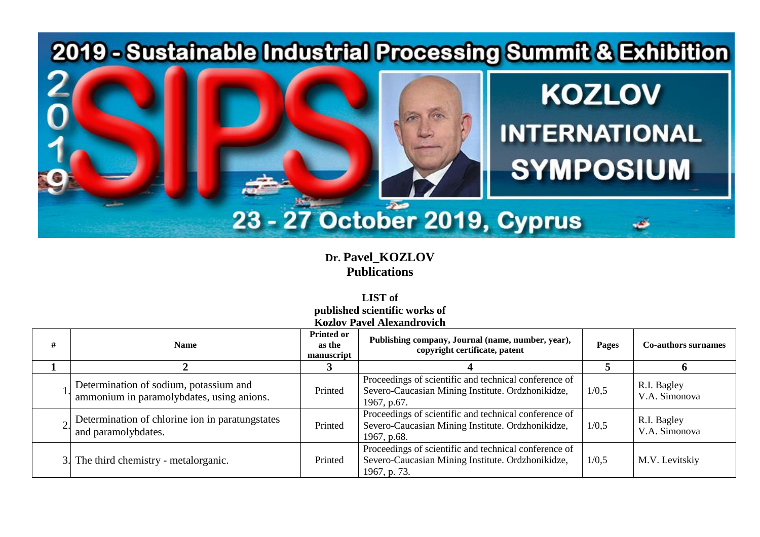

**Dr. Pavel\_KOZLOV Publications** 

**LIST of published scientific works of Kozlov Pavel Alexandrovich**

| #   | <b>Name</b>                                                                         | <b>Printed or</b><br>as the<br>manuscript | Publishing company, Journal (name, number, year),<br>copyright certificate, patent                                         | Pages | <b>Co-authors surnames</b>   |
|-----|-------------------------------------------------------------------------------------|-------------------------------------------|----------------------------------------------------------------------------------------------------------------------------|-------|------------------------------|
|     |                                                                                     |                                           |                                                                                                                            |       |                              |
|     | Determination of sodium, potassium and<br>ammonium in paramolybdates, using anions. | Printed                                   | Proceedings of scientific and technical conference of<br>Severo-Caucasian Mining Institute. Ordzhonikidze,<br>1967, p.67.  | 1/0,5 | R.I. Bagley<br>V.A. Simonova |
|     | Determination of chlorine ion in paratung states<br>and paramolybdates.             | Printed                                   | Proceedings of scientific and technical conference of<br>Severo-Caucasian Mining Institute. Ordzhonikidze,<br>1967, p.68.  | 1/0,5 | R.I. Bagley<br>V.A. Simonova |
| 3.1 | The third chemistry - metalorganic.                                                 | Printed                                   | Proceedings of scientific and technical conference of<br>Severo-Caucasian Mining Institute. Ordzhonikidze,<br>1967, p. 73. | 1/0,5 | M.V. Levitskiy               |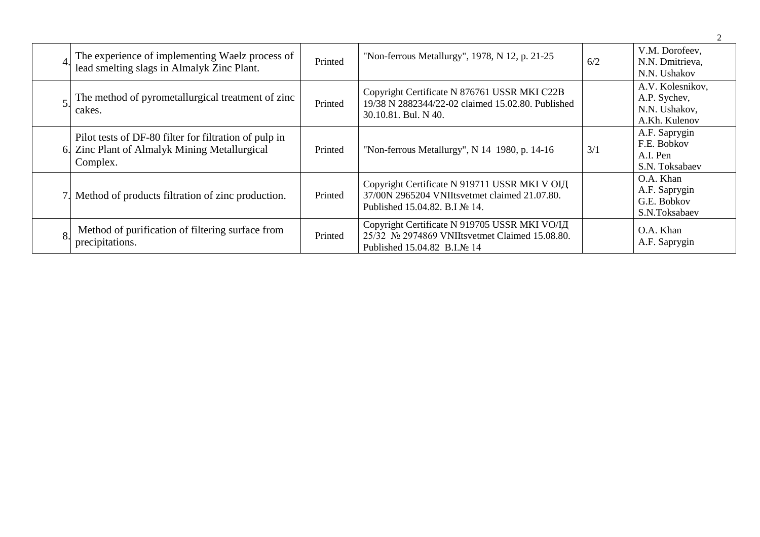| The experience of implementing Waelz process of<br>lead smelting slags in Almalyk Zinc Plant.                   | Printed | "Non-ferrous Metallurgy", 1978, N 12, p. 21-25                                                                                   | 6/2 | V.M. Dorofeev,<br>N.N. Dmitrieva,<br>N.N. Ushakov                  |
|-----------------------------------------------------------------------------------------------------------------|---------|----------------------------------------------------------------------------------------------------------------------------------|-----|--------------------------------------------------------------------|
| The method of pyrometallurgical treatment of zinc<br>cakes.                                                     | Printed | Copyright Certificate N 876761 USSR MKI C22B<br>19/38 N 2882344/22-02 claimed 15.02.80. Published<br>30.10.81. Bul. N 40.        |     | A.V. Kolesnikov,<br>A.P. Sychev,<br>N.N. Ushakov,<br>A.Kh. Kulenov |
| Pilot tests of DF-80 filter for filtration of pulp in<br>Zinc Plant of Almalyk Mining Metallurgical<br>Complex. | Printed | "Non-ferrous Metallurgy", N 14 1980, p. 14-16                                                                                    | 3/1 | A.F. Saprygin<br>F.E. Bobkov<br>A.I. Pen<br>S.N. Toksabaev         |
| Method of products filtration of zinc production.                                                               | Printed | Copyright Certificate N 919711 USSR MKI V ОІД<br>37/00N 2965204 VNIItsvetmet claimed 21.07.80.<br>Published 15.04.82. B.I No 14. |     | O.A. Khan<br>A.F. Saprygin<br>G.E. Bobkov<br>S.N.Toksabaev         |
| Method of purification of filtering surface from<br>precipitations.                                             | Printed | Copyright Certificate N 919705 USSR MKI VO/IД<br>25/32 № 2974869 VNIItsvetmet Claimed 15.08.80.<br>Published 15.04.82 B.I.No 14  |     | O.A. Khan<br>A.F. Saprygin                                         |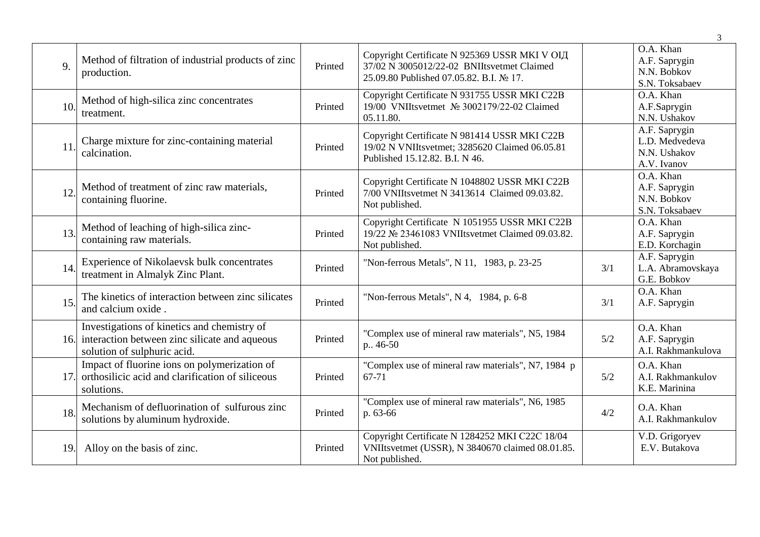|     |                                                                                                                             |         |                                                                                                                                        |     | 3                                                              |
|-----|-----------------------------------------------------------------------------------------------------------------------------|---------|----------------------------------------------------------------------------------------------------------------------------------------|-----|----------------------------------------------------------------|
| 9.  | Method of filtration of industrial products of zinc<br>production.                                                          | Printed | Copyright Certificate N 925369 USSR МКІ V ОІД<br>37/02 N 3005012/22-02 BNIItsvetmet Claimed<br>25.09.80 Published 07.05.82. B.I. № 17. |     | O.A. Khan<br>A.F. Saprygin<br>N.N. Bobkov<br>S.N. Toksabaev    |
| 10. | Method of high-silica zinc concentrates<br>treatment.                                                                       | Printed | Copyright Certificate N 931755 USSR MKI C22B<br>19/00 VNIItsvetmet № 3002179/22-02 Claimed<br>05.11.80.                                |     | O.A. Khan<br>A.F.Saprygin<br>N.N. Ushakov                      |
| 11. | Charge mixture for zinc-containing material<br>calcination.                                                                 | Printed | Copyright Certificate N 981414 USSR MKI C22B<br>19/02 N VNIItsvetmet; 3285620 Claimed 06.05.81<br>Published 15.12.82. B.I. N 46.       |     | A.F. Saprygin<br>L.D. Medvedeva<br>N.N. Ushakov<br>A.V. Ivanov |
| 12. | Method of treatment of zinc raw materials,<br>containing fluorine.                                                          | Printed | Copyright Certificate N 1048802 USSR MKI C22B<br>7/00 VNIItsvetmet N 3413614 Claimed 09.03.82.<br>Not published.                       |     | O.A. Khan<br>A.F. Saprygin<br>N.N. Bobkov<br>S.N. Toksabaev    |
| 13. | Method of leaching of high-silica zinc-<br>containing raw materials.                                                        | Printed | Copyright Certificate N 1051955 USSR MKI C22B<br>19/22 № 23461083 VNIItsvetmet Claimed 09.03.82.<br>Not published.                     |     | O.A. Khan<br>A.F. Saprygin<br>E.D. Korchagin                   |
| 14. | Experience of Nikolaevsk bulk concentrates<br>treatment in Almalyk Zinc Plant.                                              | Printed | "Non-ferrous Metals", N 11, 1983, p. 23-25                                                                                             | 3/1 | A.F. Saprygin<br>L.A. Abramovskaya<br>G.E. Bobkov              |
| 15. | The kinetics of interaction between zinc silicates<br>and calcium oxide.                                                    | Printed | "Non-ferrous Metals", $N$ 4, 1984, p. 6-8                                                                                              | 3/1 | O.A. Khan<br>A.F. Saprygin                                     |
| 16. | Investigations of kinetics and chemistry of<br>interaction between zinc silicate and aqueous<br>solution of sulphuric acid. | Printed | "Complex use of mineral raw materials", N5, 1984<br>p., 46-50                                                                          | 5/2 | O.A. Khan<br>A.F. Saprygin<br>A.I. Rakhmankulova               |
| 17. | Impact of fluorine ions on polymerization of<br>orthosilicic acid and clarification of siliceous<br>solutions.              | Printed | "Complex use of mineral raw materials", N7, 1984 p<br>67-71                                                                            | 5/2 | O.A. Khan<br>A.I. Rakhmankulov<br>K.E. Marinina                |
| 18. | Mechanism of defluorination of sulfurous zinc<br>solutions by aluminum hydroxide.                                           | Printed | "Complex use of mineral raw materials", N6, 1985<br>p. 63-66                                                                           | 4/2 | O.A. Khan<br>A.I. Rakhmankulov                                 |
| 19. | Alloy on the basis of zinc.                                                                                                 | Printed | Copyright Certificate N 1284252 MKI C22C 18/04<br>VNIItsvetmet (USSR), N 3840670 claimed 08.01.85.<br>Not published.                   |     | V.D. Grigoryev<br>E.V. Butakova                                |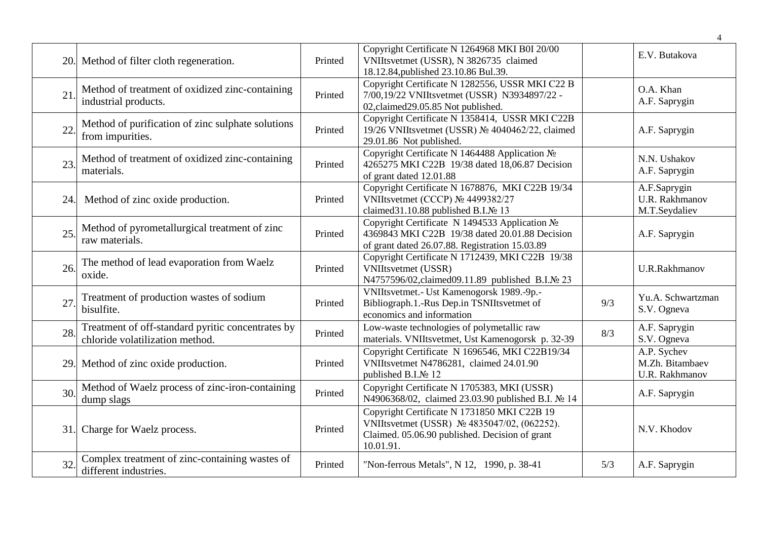|     |                                                                                      |         |                                                                                                                                                           |     | $\overline{\mathcal{A}}$                         |
|-----|--------------------------------------------------------------------------------------|---------|-----------------------------------------------------------------------------------------------------------------------------------------------------------|-----|--------------------------------------------------|
|     | 20. Method of filter cloth regeneration.                                             | Printed | Copyright Certificate N 1264968 MKI B0I 20/00<br>VNIItsvetmet (USSR), N 3826735 claimed<br>18.12.84, published 23.10.86 Bul.39.                           |     | E.V. Butakova                                    |
| 21  | Method of treatment of oxidized zinc-containing<br>industrial products.              | Printed | Copyright Certificate N 1282556, USSR MKI C22 B<br>7/00,19/22 VNIItsvetmet (USSR) N3934897/22 -<br>02, claimed 29.05.85 Not published.                    |     | O.A. Khan<br>A.F. Saprygin                       |
| 22  | Method of purification of zinc sulphate solutions<br>from impurities.                | Printed | Copyright Certificate N 1358414, USSR MKI C22B<br>19/26 VNIItsvetmet (USSR) № 4040462/22, claimed<br>29.01.86 Not published.                              |     | A.F. Saprygin                                    |
| 23. | Method of treatment of oxidized zinc-containing<br>materials.                        | Printed | Copyright Certificate N 1464488 Application No<br>4265275 MKI C22B 19/38 dated 18,06.87 Decision<br>of grant dated 12.01.88                               |     | N.N. Ushakov<br>A.F. Saprygin                    |
| 24. | Method of zinc oxide production.                                                     | Printed | Copyright Certificate N 1678876, MKI C22B 19/34<br>VNIItsvetmet (CCCP) № 4499382/27<br>claimed31.10.88 published B.I.№ 13                                 |     | A.F.Saprygin<br>U.R. Rakhmanov<br>M.T.Seydaliev  |
| 25  | Method of pyrometallurgical treatment of zinc<br>raw materials.                      | Printed | Copyright Certificate N 1494533 Application No<br>4369843 MKI C22B 19/38 dated 20.01.88 Decision<br>of grant dated 26.07.88. Registration 15.03.89        |     | A.F. Saprygin                                    |
| 26. | The method of lead evaporation from Waelz<br>oxide.                                  | Printed | Copyright Certificate N 1712439, MKI C22B 19/38<br><b>VNIItsvetmet</b> (USSR)<br>N4757596/02, claimed09.11.89 published B.I.№ 23                          |     | <b>U.R.Rakhmanov</b>                             |
| 27  | Treatment of production wastes of sodium<br>bisulfite.                               | Printed | VNIItsvetmet.- Ust Kamenogorsk 1989.-9p.-<br>Bibliograph.1.-Rus Dep.in TSNIItsvetmet of<br>economics and information                                      | 9/3 | Yu.A. Schwartzman<br>S.V. Ogneva                 |
| 28. | Treatment of off-standard pyritic concentrates by<br>chloride volatilization method. | Printed | Low-waste technologies of polymetallic raw<br>materials. VNIItsvetmet, Ust Kamenogorsk p. 32-39                                                           | 8/3 | A.F. Saprygin<br>S.V. Ogneva                     |
|     | 29. Method of zinc oxide production.                                                 | Printed | Copyright Certificate N 1696546, MKI C22B19/34<br>VNIItsvetmet N4786281, claimed 24.01.90<br>published B.I.No 12                                          |     | A.P. Sychev<br>M.Zh. Bitambaev<br>U.R. Rakhmanov |
| 30. | Method of Waelz process of zinc-iron-containing<br>dump slags                        | Printed | Copyright Certificate N 1705383, MKI (USSR)<br>N4906368/02, claimed 23.03.90 published B.I. № 14                                                          |     | A.F. Saprygin                                    |
|     | 31. Charge for Waelz process.                                                        | Printed | Copyright Certificate N 1731850 MKI C22B 19<br>VNIItsvetmet (USSR) № 4835047/02, (062252).<br>Claimed. 05.06.90 published. Decision of grant<br>10.01.91. |     | N.V. Khodov                                      |
| 32. | Complex treatment of zinc-containing wastes of<br>different industries.              | Printed | "Non-ferrous Metals", N 12, 1990, p. 38-41                                                                                                                | 5/3 | A.F. Saprygin                                    |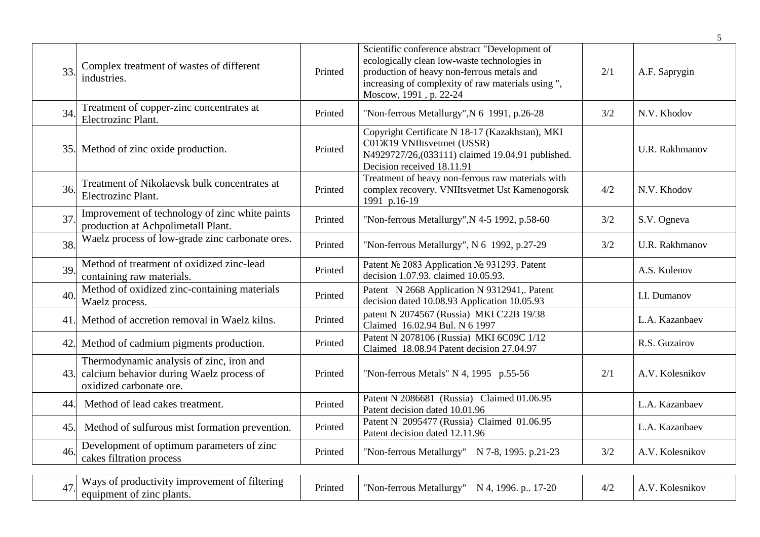|     |                                                                                                                 |         |                                                                                                                                                                                                                              |     | 5               |
|-----|-----------------------------------------------------------------------------------------------------------------|---------|------------------------------------------------------------------------------------------------------------------------------------------------------------------------------------------------------------------------------|-----|-----------------|
| 33. | Complex treatment of wastes of different<br>industries.                                                         | Printed | Scientific conference abstract "Development of<br>ecologically clean low-waste technologies in<br>production of heavy non-ferrous metals and<br>increasing of complexity of raw materials using ",<br>Moscow, 1991, p. 22-24 | 2/1 | A.F. Saprygin   |
| 34. | Treatment of copper-zinc concentrates at<br>Electrozinc Plant.                                                  | Printed | "Non-ferrous Metallurgy", N 6 1991, p.26-28                                                                                                                                                                                  | 3/2 | N.V. Khodov     |
|     | 35. Method of zinc oxide production.                                                                            | Printed | Copyright Certificate N 18-17 (Kazakhstan), MKI<br>C01X19 VNIItsvetmet (USSR)<br>N4929727/26,(033111) claimed 19.04.91 published.<br>Decision received 18.11.91                                                              |     | U.R. Rakhmanov  |
| 36. | Treatment of Nikolaevsk bulk concentrates at<br>Electrozinc Plant.                                              | Printed | Treatment of heavy non-ferrous raw materials with<br>complex recovery. VNIItsvetmet Ust Kamenogorsk<br>1991 p.16-19                                                                                                          | 4/2 | N.V. Khodov     |
| 37  | Improvement of technology of zinc white paints<br>production at Achpolimetall Plant.                            | Printed | "Non-ferrous Metallurgy", N 4-5 1992, p.58-60                                                                                                                                                                                | 3/2 | S.V. Ogneva     |
| 38. | Waelz process of low-grade zinc carbonate ores.                                                                 | Printed | "Non-ferrous Metallurgy", N 6 1992, p.27-29                                                                                                                                                                                  | 3/2 | U.R. Rakhmanov  |
| 39. | Method of treatment of oxidized zinc-lead<br>containing raw materials.                                          | Printed | Patent № 2083 Application № 931293. Patent<br>decision 1.07.93. claimed 10.05.93.                                                                                                                                            |     | A.S. Kulenov    |
| 40. | Method of oxidized zinc-containing materials<br>Waelz process.                                                  | Printed | Patent N 2668 Application N 9312941,. Patent<br>decision dated 10.08.93 Application 10.05.93                                                                                                                                 |     | I.I. Dumanov    |
| 41. | Method of accretion removal in Waelz kilns.                                                                     | Printed | patent N 2074567 (Russia) MKI C22B 19/38<br>Claimed 16.02.94 Bul. N 6 1997                                                                                                                                                   |     | L.A. Kazanbaev  |
| 42. | Method of cadmium pigments production.                                                                          | Printed | Patent N 2078106 (Russia) MKI 6C09C 1/12<br>Claimed 18.08.94 Patent decision 27.04.97                                                                                                                                        |     | R.S. Guzairov   |
| 43. | Thermodynamic analysis of zinc, iron and<br>calcium behavior during Waelz process of<br>oxidized carbonate ore. | Printed | "Non-ferrous Metals" N 4, 1995 p.55-56                                                                                                                                                                                       | 2/1 | A.V. Kolesnikov |
| 44. | Method of lead cakes treatment.                                                                                 | Printed | Patent N 2086681 (Russia) Claimed 01.06.95<br>Patent decision dated 10.01.96                                                                                                                                                 |     | L.A. Kazanbaev  |
| 45. | Method of sulfurous mist formation prevention.                                                                  | Printed | Patent N 2095477 (Russia) Claimed 01.06.95<br>Patent decision dated 12.11.96                                                                                                                                                 |     | L.A. Kazanbaev  |
| 46. | Development of optimum parameters of zinc<br>cakes filtration process                                           | Printed | "Non-ferrous Metallurgy" N 7-8, 1995. p.21-23                                                                                                                                                                                | 3/2 | A.V. Kolesnikov |
|     | Ways of productivity improvement of filtering                                                                   |         |                                                                                                                                                                                                                              |     |                 |
| 47. | equipment of zinc plants.                                                                                       | Printed | "Non-ferrous Metallurgy" N 4, 1996. p 17-20                                                                                                                                                                                  | 4/2 | A.V. Kolesnikov |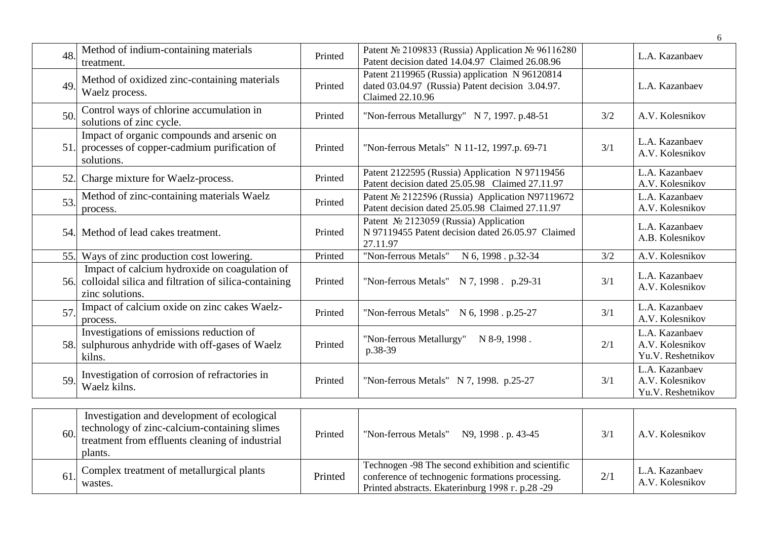|     |                                                                                                                                                           |         |                                                                                                                                                            |     | 6                                                      |
|-----|-----------------------------------------------------------------------------------------------------------------------------------------------------------|---------|------------------------------------------------------------------------------------------------------------------------------------------------------------|-----|--------------------------------------------------------|
| 48. | Method of indium-containing materials<br>treatment.                                                                                                       | Printed | Patent Nº 2109833 (Russia) Application № 96116280<br>Patent decision dated 14.04.97 Claimed 26.08.96                                                       |     | L.A. Kazanbaev                                         |
| 49  | Method of oxidized zinc-containing materials<br>Waelz process.                                                                                            | Printed | Patent 2119965 (Russia) application N 96120814<br>dated 03.04.97 (Russia) Patent decision 3.04.97.<br><b>Claimed 22.10.96</b>                              |     | L.A. Kazanbaev                                         |
| 50. | Control ways of chlorine accumulation in<br>solutions of zinc cycle.                                                                                      | Printed | "Non-ferrous Metallurgy" N 7, 1997. p.48-51                                                                                                                | 3/2 | A.V. Kolesnikov                                        |
| 51. | Impact of organic compounds and arsenic on<br>processes of copper-cadmium purification of<br>solutions.                                                   | Printed | "Non-ferrous Metals" N 11-12, 1997.p. 69-71                                                                                                                | 3/1 | L.A. Kazanbaev<br>A.V. Kolesnikov                      |
| 52. | Charge mixture for Waelz-process.                                                                                                                         | Printed | Patent 2122595 (Russia) Application N 97119456<br>Patent decision dated 25.05.98 Claimed 27.11.97                                                          |     | L.A. Kazanbaev<br>A.V. Kolesnikov                      |
| 53. | Method of zinc-containing materials Waelz<br>process.                                                                                                     | Printed | Patent Nº 2122596 (Russia) Application N97119672<br>Patent decision dated 25.05.98 Claimed 27.11.97                                                        |     | L.A. Kazanbaev<br>A.V. Kolesnikov                      |
| 54. | Method of lead cakes treatment.                                                                                                                           | Printed | Patent Nº 2123059 (Russia) Application<br>N 97119455 Patent decision dated 26.05.97 Claimed<br>27.11.97                                                    |     | L.A. Kazanbaev<br>A.B. Kolesnikov                      |
|     | 55. Ways of zinc production cost lowering.                                                                                                                | Printed | "Non-ferrous Metals" N 6, 1998 . p.32-34                                                                                                                   | 3/2 | A.V. Kolesnikov                                        |
| 56. | Impact of calcium hydroxide on coagulation of<br>colloidal silica and filtration of silica-containing<br>zinc solutions.                                  | Printed | "Non-ferrous Metals" $N$ 7, 1998. p.29-31                                                                                                                  | 3/1 | L.A. Kazanbaev<br>A.V. Kolesnikov                      |
| 57  | Impact of calcium oxide on zinc cakes Waelz-<br>process.                                                                                                  | Printed | "Non-ferrous Metals" N 6, 1998 . p.25-27                                                                                                                   | 3/1 | L.A. Kazanbaev<br>A.V. Kolesnikov                      |
| 58. | Investigations of emissions reduction of<br>sulphurous anhydride with off-gases of Waelz<br>kilns.                                                        | Printed | "Non-ferrous Metallurgy"<br>N 8-9, 1998.<br>p.38-39                                                                                                        | 2/1 | L.A. Kazanbaev<br>A.V. Kolesnikov<br>Yu.V. Reshetnikov |
| 59. | Investigation of corrosion of refractories in<br>Waelz kilns.                                                                                             | Printed | "Non-ferrous Metals" N 7, 1998. p.25-27                                                                                                                    | 3/1 | L.A. Kazanbaev<br>A.V. Kolesnikov<br>Yu.V. Reshetnikov |
| 60. | Investigation and development of ecological<br>technology of zinc-calcium-containing slimes<br>treatment from effluents cleaning of industrial<br>plants. | Printed | "Non-ferrous Metals"<br>N9, 1998. p. 43-45                                                                                                                 | 3/1 | A.V. Kolesnikov                                        |
| 61  | Complex treatment of metallurgical plants<br>wastes.                                                                                                      | Printed | Technogen -98 The second exhibition and scientific<br>conference of technogenic formations processing.<br>Printed abstracts. Ekaterinburg 1998 r. p.28 -29 | 2/1 | L.A. Kazanbaev<br>A.V. Kolesnikov                      |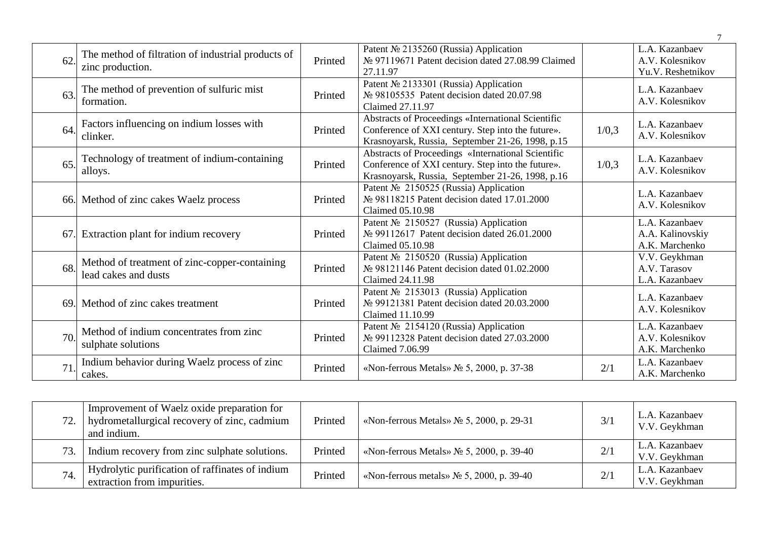| 62. | The method of filtration of industrial products of<br>zinc production. | Printed | Patent № 2135260 (Russia) Application<br>№ 97119671 Patent decision dated 27.08.99 Claimed<br>27.11.97                                                      |       | L.A. Kazanbaev<br>A.V. Kolesnikov<br>Yu.V. Reshetnikov |
|-----|------------------------------------------------------------------------|---------|-------------------------------------------------------------------------------------------------------------------------------------------------------------|-------|--------------------------------------------------------|
| 63. | The method of prevention of sulfuric mist<br>formation.                | Printed | Patent № 2133301 (Russia) Application<br>№ 98105535 Patent decision dated 20.07.98<br>Claimed 27.11.97                                                      |       | L.A. Kazanbaev<br>A.V. Kolesnikov                      |
| 64. | Factors influencing on indium losses with<br>clinker.                  | Printed | Abstracts of Proceedings «International Scientific<br>Conference of XXI century. Step into the future».<br>Krasnoyarsk, Russia, September 21-26, 1998, p.15 | 1/0,3 | L.A. Kazanbaev<br>A.V. Kolesnikov                      |
| 65. | Technology of treatment of indium-containing<br>alloys.                | Printed | Abstracts of Proceedings «International Scientific<br>Conference of XXI century. Step into the future».<br>Krasnoyarsk, Russia, September 21-26, 1998, p.16 | 1/0,3 | L.A. Kazanbaev<br>A.V. Kolesnikov                      |
|     | 66. Method of zinc cakes Waelz process                                 | Printed | Patent Nº 2150525 (Russia) Application<br>№ 98118215 Patent decision dated 17.01.2000<br>Claimed 05.10.98                                                   |       | L.A. Kazanbaev<br>A.V. Kolesnikov                      |
| 67. | Extraction plant for indium recovery                                   | Printed | Patent № 2150527 (Russia) Application<br>№ 99112617 Patent decision dated 26.01.2000<br>Claimed 05.10.98                                                    |       | L.A. Kazanbaev<br>A.A. Kalinovskiy<br>A.K. Marchenko   |
| 68. | Method of treatment of zinc-copper-containing<br>lead cakes and dusts  | Printed | Patent Nº 2150520 (Russia) Application<br>№ 98121146 Patent decision dated 01.02.2000<br>Claimed 24.11.98                                                   |       | V.V. Geykhman<br>A.V. Tarasov<br>L.A. Kazanbaev        |
| 69. | Method of zinc cakes treatment                                         | Printed | Patent Nº 2153013 (Russia) Application<br>№ 99121381 Patent decision dated 20.03.2000<br>Claimed 11.10.99                                                   |       | L.A. Kazanbaev<br>A.V. Kolesnikov                      |
| 70. | Method of indium concentrates from zinc<br>sulphate solutions          | Printed | Patent Nº 2154120 (Russia) Application<br>№ 99112328 Patent decision dated 27.03.2000<br>Claimed 7.06.99                                                    |       | L.A. Kazanbaev<br>A.V. Kolesnikov<br>A.K. Marchenko    |
| 71  | Indium behavior during Waelz process of zinc<br>cakes.                 | Printed | «Non-ferrous Metals» No 5, 2000, p. 37-38                                                                                                                   | 2/1   | L.A. Kazanbaev<br>A.K. Marchenko                       |

| 72.1 | Improvement of Waelz oxide preparation for<br>hydrometallurgical recovery of zinc, cadmium<br>and indium. | Printed | «Non-ferrous Metals» $\mathcal{N}_2$ 5, 2000, p. 29-31 | 3/1 | L.A. Kazanbaev<br>V.V. Geykhman |
|------|-----------------------------------------------------------------------------------------------------------|---------|--------------------------------------------------------|-----|---------------------------------|
| 73.  | Indium recovery from zinc sulphate solutions.                                                             | Printed | «Non-ferrous Metals» $\mathcal{N}_2$ 5, 2000, p. 39-40 | 2/1 | L.A. Kazanbaev<br>V.V. Geykhman |
| 74.  | Hydrolytic purification of raffinates of indium<br>extraction from impurities.                            | Printed | «Non-ferrous metals» $N_2$ 5, 2000, p. 39-40           | 2/1 | L.A. Kazanbaev<br>V.V. Geykhman |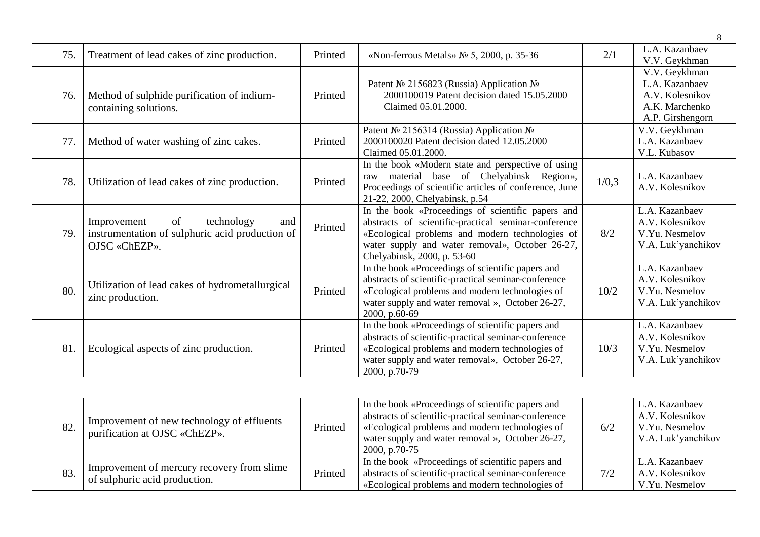| 75. | Treatment of lead cakes of zinc production.                                                                | Printed | «Non-ferrous Metals» $N_2$ 5, 2000, p. 35-36                                                                                                                                                                                                   | 2/1   | L.A. Kazanbaev<br>V.V. Geykhman                                                          |
|-----|------------------------------------------------------------------------------------------------------------|---------|------------------------------------------------------------------------------------------------------------------------------------------------------------------------------------------------------------------------------------------------|-------|------------------------------------------------------------------------------------------|
| 76. | Method of sulphide purification of indium-<br>containing solutions.                                        | Printed | Patent № 2156823 (Russia) Application №<br>2000100019 Patent decision dated 15.05.2000<br>Claimed 05.01.2000.                                                                                                                                  |       | V.V. Geykhman<br>L.A. Kazanbaev<br>A.V. Kolesnikov<br>A.K. Marchenko<br>A.P. Girshengorn |
| 77. | Method of water washing of zinc cakes.                                                                     | Printed | Patent № 2156314 (Russia) Application №<br>2000100020 Patent decision dated 12.05.2000<br>Claimed 05.01.2000.                                                                                                                                  |       | V.V. Geykhman<br>L.A. Kazanbaev<br>V.L. Kubasov                                          |
| 78. | Utilization of lead cakes of zinc production.                                                              | Printed | In the book «Modern state and perspective of using<br>material base of Chelyabinsk Region»,<br>raw<br>Proceedings of scientific articles of conference, June<br>21-22, 2000, Chelyabinsk, p.54                                                 | 1/0,3 | L.A. Kazanbaev<br>A.V. Kolesnikov                                                        |
| 79. | of<br>technology<br>Improvement<br>and<br>instrumentation of sulphuric acid production of<br>OJSC «ChEZP». | Printed | In the book «Proceedings of scientific papers and<br>abstracts of scientific-practical seminar-conference<br>«Ecological problems and modern technologies of<br>water supply and water removal», October 26-27,<br>Chelyabinsk, 2000, p. 53-60 | 8/2   | L.A. Kazanbaev<br>A.V. Kolesnikov<br>V.Yu. Nesmelov<br>V.A. Luk'yanchikov                |
| 80. | Utilization of lead cakes of hydrometallurgical<br>zinc production.                                        | Printed | In the book «Proceedings of scientific papers and<br>abstracts of scientific-practical seminar-conference<br>«Ecological problems and modern technologies of<br>water supply and water removal », October 26-27,<br>2000, p.60-69              | 10/2  | L.A. Kazanbaev<br>A.V. Kolesnikov<br>V.Yu. Nesmelov<br>V.A. Luk'yanchikov                |
| 81. | Ecological aspects of zinc production.                                                                     | Printed | In the book «Proceedings of scientific papers and<br>abstracts of scientific-practical seminar-conference<br>«Ecological problems and modern technologies of<br>water supply and water removal», October 26-27,<br>2000, p.70-79               | 10/3  | L.A. Kazanbaev<br>A.V. Kolesnikov<br>V.Yu. Nesmelov<br>V.A. Luk'yanchikov                |

| 82. | Improvement of new technology of effluents<br>purification at OJSC «ChEZP». | Printed | In the book «Proceedings of scientific papers and<br>abstracts of scientific-practical seminar-conference<br>«Ecological problems and modern technologies of<br>water supply and water removal », October 26-27,<br>2000, p.70-75 | 6/2 | L.A. Kazanbaev<br>A.V. Kolesnikov<br>V.Yu. Nesmelov<br>V.A. Luk'yanchikov |
|-----|-----------------------------------------------------------------------------|---------|-----------------------------------------------------------------------------------------------------------------------------------------------------------------------------------------------------------------------------------|-----|---------------------------------------------------------------------------|
| 83. | Improvement of mercury recovery from slime<br>of sulphuric acid production. | Printed | In the book «Proceedings of scientific papers and<br>abstracts of scientific-practical seminar-conference<br>«Ecological problems and modern technologies of                                                                      | 7/2 | L.A. Kazanbaev<br>A.V. Kolesnikov<br>V.Yu. Nesmelov                       |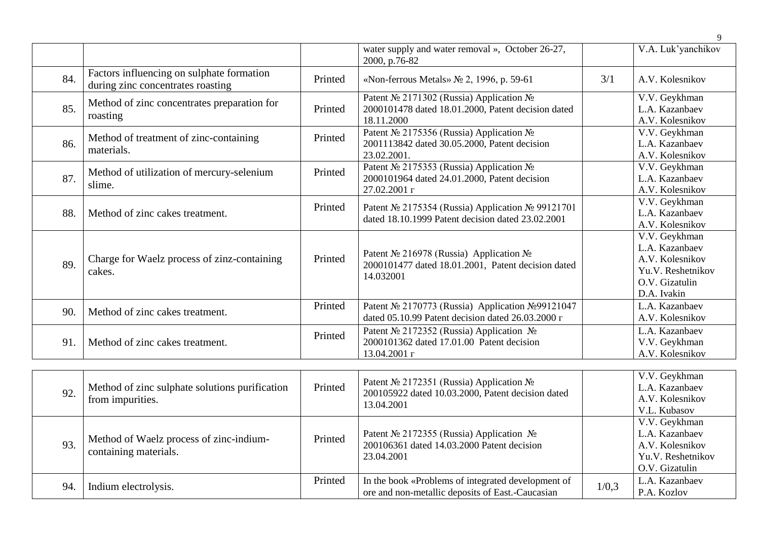|     |                                                                                |         |                                                                                                             |     | 9                                                                                                        |
|-----|--------------------------------------------------------------------------------|---------|-------------------------------------------------------------------------------------------------------------|-----|----------------------------------------------------------------------------------------------------------|
|     |                                                                                |         | water supply and water removal », October 26-27,<br>2000, p.76-82                                           |     | V.A. Luk'yanchikov                                                                                       |
| 84. | Factors influencing on sulphate formation<br>during zinc concentrates roasting | Printed | «Non-ferrous Metals» No 2, 1996, p. 59-61                                                                   | 3/1 | A.V. Kolesnikov                                                                                          |
| 85. | Method of zinc concentrates preparation for<br>roasting                        | Printed | Patent № 2171302 (Russia) Application №<br>2000101478 dated 18.01.2000, Patent decision dated<br>18.11.2000 |     | V.V. Geykhman<br>L.A. Kazanbaev<br>A.V. Kolesnikov                                                       |
| 86. | Method of treatment of zinc-containing<br>materials.                           | Printed | Patent № 2175356 (Russia) Application №<br>2001113842 dated 30.05.2000, Patent decision<br>23.02.2001.      |     | V.V. Geykhman<br>L.A. Kazanbaev<br>A.V. Kolesnikov                                                       |
| 87. | Method of utilization of mercury-selenium<br>slime.                            | Printed | Patent № 2175353 (Russia) Application №<br>2000101964 dated 24.01.2000, Patent decision<br>27.02.2001 г     |     | V.V. Geykhman<br>L.A. Kazanbaev<br>A.V. Kolesnikov                                                       |
| 88. | Method of zinc cakes treatment.                                                | Printed | Patent № 2175354 (Russia) Application № 99121701<br>dated 18.10.1999 Patent decision dated 23.02.2001       |     | V.V. Geykhman<br>L.A. Kazanbaev<br>A.V. Kolesnikov                                                       |
| 89. | Charge for Waelz process of zinz-containing<br>cakes.                          | Printed | Patent № 216978 (Russia) Application №<br>2000101477 dated 18.01.2001, Patent decision dated<br>14.032001   |     | V.V. Geykhman<br>L.A. Kazanbaev<br>A.V. Kolesnikov<br>Yu.V. Reshetnikov<br>O.V. Gizatulin<br>D.A. Ivakin |
| 90. | Method of zinc cakes treatment.                                                | Printed | Patent Nº 2170773 (Russia) Application Nº 99121047<br>dated 05.10.99 Patent decision dated 26.03.2000 r     |     | L.A. Kazanbaev<br>A.V. Kolesnikov                                                                        |
| 91. | Method of zinc cakes treatment.                                                | Printed | Patent № 2172352 (Russia) Application №<br>2000101362 dated 17.01.00 Patent decision<br>13.04.2001 г        |     | L.A. Kazanbaev<br>V.V. Geykhman<br>A.V. Kolesnikov                                                       |
| 92. | Method of zinc sulphate solutions purification<br>from impurities.             | Printed | Patent № 2172351 (Russia) Application №<br>200105922 dated 10.03.2000, Patent decision dated<br>13.04.2001  |     | V.V. Geykhman<br>L.A. Kazanbaev<br>A.V. Kolesnikov<br>V.L. Kubasov                                       |
| 93. | Method of Waelz process of zinc-indium-<br>containing materials.               | Printed | Patent № 2172355 (Russia) Application №<br>200106361 dated 14.03.2000 Patent decision<br>23.04.2001         |     | V.V. Geykhman<br>L.A. Kazanbaev<br>A.V. Kolesnikov<br>Yu.V. Reshetnikov                                  |

Printed In the book «Problems of integrated development of L.A. Kazanbaev ore and non-metallic deposits of East.-Caucasian P.A. Kozlov

94. Indium electrolysis.

Yu.V. Reshetnikov O.V. Gizatulin

P.A. Kozlov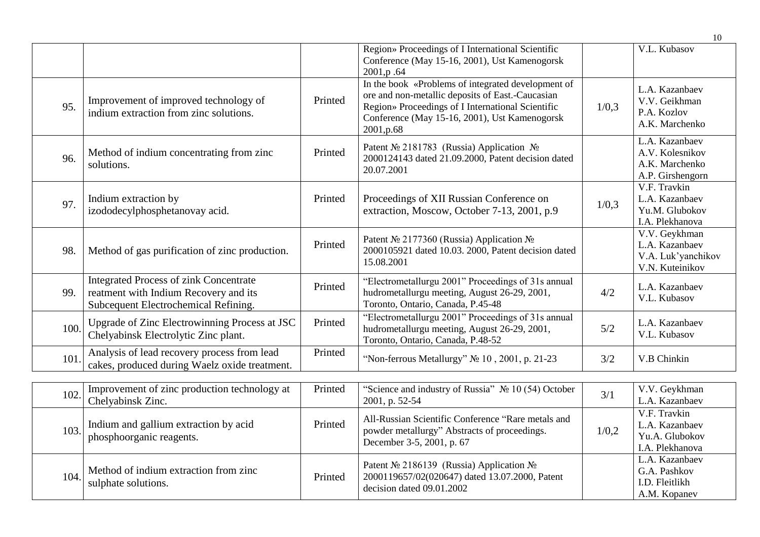|      |                                                                                                                                |         |                                                                                                                                                                                                                            |       | 10                                                                       |
|------|--------------------------------------------------------------------------------------------------------------------------------|---------|----------------------------------------------------------------------------------------------------------------------------------------------------------------------------------------------------------------------------|-------|--------------------------------------------------------------------------|
|      |                                                                                                                                |         | Region» Proceedings of I International Scientific<br>Conference (May 15-16, 2001), Ust Kamenogorsk<br>2001, p.64                                                                                                           |       | V.L. Kubasov                                                             |
| 95.  | Improvement of improved technology of<br>indium extraction from zinc solutions.                                                | Printed | In the book «Problems of integrated development of<br>ore and non-metallic deposits of East.-Caucasian<br>Region» Proceedings of I International Scientific<br>Conference (May 15-16, 2001), Ust Kamenogorsk<br>2001, p.68 | 1/0,3 | L.A. Kazanbaev<br>V.V. Geikhman<br>P.A. Kozlov<br>A.K. Marchenko         |
| 96.  | Method of indium concentrating from zinc<br>solutions.                                                                         | Printed | Patent № 2181783 (Russia) Application №<br>2000124143 dated 21.09.2000, Patent decision dated<br>20.07.2001                                                                                                                |       | L.A. Kazanbaev<br>A.V. Kolesnikov<br>A.K. Marchenko<br>A.P. Girshengorn  |
| 97.  | Indium extraction by<br>izododecylphosphetanovay acid.                                                                         | Printed | Proceedings of XII Russian Conference on<br>extraction, Moscow, October 7-13, 2001, p.9                                                                                                                                    | 1/0,3 | V.F. Travkin<br>L.A. Kazanbaev<br>Yu.M. Glubokov<br>I.A. Plekhanova      |
| 98.  | Method of gas purification of zinc production.                                                                                 | Printed | Patent № 2177360 (Russia) Application №<br>2000105921 dated 10.03. 2000, Patent decision dated<br>15.08.2001                                                                                                               |       | V.V. Geykhman<br>L.A. Kazanbaev<br>V.A. Luk'yanchikov<br>V.N. Kuteinikov |
| 99.  | <b>Integrated Process of zink Concentrate</b><br>reatment with Indium Recovery and its<br>Subcequent Electrochemical Refining. | Printed | "Electrometallurgu 2001" Proceedings of 31s annual<br>hudrometallurgu meeting, August 26-29, 2001,<br>Toronto, Ontario, Canada, P.45-48                                                                                    | 4/2   | L.A. Kazanbaev<br>V.L. Kubasov                                           |
| 100. | Upgrade of Zinc Electrowinning Process at JSC<br>Chelyabinsk Electrolytic Zinc plant.                                          | Printed | "Electrometallurgu 2001" Proceedings of 31s annual<br>hudrometallurgu meeting, August 26-29, 2001,<br>Toronto, Ontario, Canada, P.48-52                                                                                    | 5/2   | L.A. Kazanbaev<br>V.L. Kubasov                                           |
| 101. | Analysis of lead recovery process from lead<br>cakes, produced during Waelz oxide treatment.                                   | Printed | "Non-ferrous Metallurgy" № 10, 2001, p. 21-23                                                                                                                                                                              | 3/2   | V.B Chinkin                                                              |
| 102  | Improvement of zinc production technology at<br>Chelyabinsk Zinc.                                                              | Printed | "Science and industry of Russia" Nº 10 (54) October<br>2001, p. 52-54                                                                                                                                                      | 3/1   | V.V. Geykhman<br>L.A. Kazanbaev                                          |
| 103. | Indium and gallium extraction by acid<br>phosphoorganic reagents.                                                              | Printed | All-Russian Scientific Conference "Rare metals and<br>powder metallurgy" Abstracts of proceedings.<br>December 3-5, 2001, p. 67                                                                                            | 1/0,2 | V.F. Travkin<br>L.A. Kazanbaev<br>Yu.A. Glubokov<br>I.A. Plekhanova      |
| 104. | Method of indium extraction from zinc<br>sulphate solutions.                                                                   | Printed | Patent № 2186139 (Russia) Application №<br>2000119657/02(020647) dated 13.07.2000, Patent<br>decision dated 09.01.2002                                                                                                     |       | L.A. Kazanbaev<br>G.A. Pashkov<br>I.D. Fleitlikh<br>$A$ $M$ $I$          |

A.M. Kopanev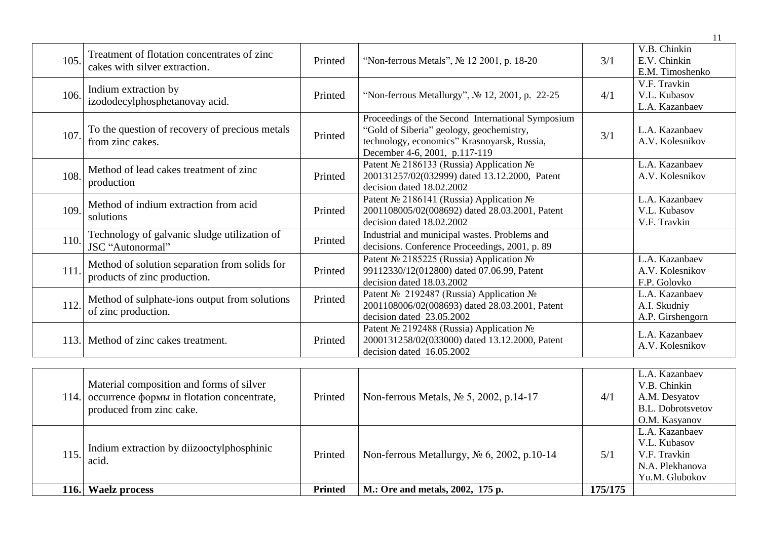| 105. | Treatment of flotation concentrates of zinc<br>cakes with silver extraction.  | Printed | "Non-ferrous Metals", No 12 2001, p. 18-20                                                                                                                                    | 3/1 | V.B. Chinkin<br>E.V. Chinkin<br>E.M. Timoshenko    |
|------|-------------------------------------------------------------------------------|---------|-------------------------------------------------------------------------------------------------------------------------------------------------------------------------------|-----|----------------------------------------------------|
| 106. | Indium extraction by<br>izododecylphosphetanovay acid.                        | Printed | "Non-ferrous Metallurgy", № 12, 2001, p. 22-25                                                                                                                                | 4/1 | V.F. Travkin<br>V.L. Kubasov<br>L.A. Kazanbaev     |
| 107. | To the question of recovery of precious metals<br>from zinc cakes.            | Printed | Proceedings of the Second International Symposium<br>"Gold of Siberia" geology, geochemistry,<br>technology, economics" Krasnoyarsk, Russia,<br>December 4-6, 2001, p.117-119 | 3/1 | L.A. Kazanbaev<br>A.V. Kolesnikov                  |
| 108. | Method of lead cakes treatment of zinc<br>production                          | Printed | Patent № 2186133 (Russia) Application №<br>200131257/02(032999) dated 13.12.2000, Patent<br>decision dated 18.02.2002                                                         |     | L.A. Kazanbaev<br>A.V. Kolesnikov                  |
| 109. | Method of indium extraction from acid<br>solutions                            | Printed | Patent № 2186141 (Russia) Application №<br>2001108005/02(008692) dated 28.03.2001, Patent<br>decision dated 18.02.2002                                                        |     | L.A. Kazanbaev<br>V.L. Kubasov<br>V.F. Travkin     |
| 110. | Technology of galvanic sludge utilization of<br>JSC "Autonormal"              | Printed | Industrial and municipal wastes. Problems and<br>decisions. Conference Proceedings, 2001, p. 89                                                                               |     |                                                    |
| 111. | Method of solution separation from solids for<br>products of zinc production. | Printed | Patent № 2185225 (Russia) Application №<br>99112330/12(012800) dated 07.06.99, Patent<br>decision dated 18.03.2002                                                            |     | L.A. Kazanbaev<br>A.V. Kolesnikov<br>F.P. Golovko  |
| 112. | Method of sulphate-ions output from solutions<br>of zinc production.          | Printed | Patent Nº 2192487 (Russia) Application Nº<br>2001108006/02(008693) dated 28.03.2001, Patent<br>decision dated 23.05.2002                                                      |     | L.A. Kazanbaev<br>A.I. Skudniy<br>A.P. Girshengorn |
| 113. | Method of zinc cakes treatment.                                               | Printed | Patent № 2192488 (Russia) Application №<br>2000131258/02(033000) dated 13.12.2000, Patent<br>decision dated 16.05.2002                                                        |     | L.A. Kazanbaev<br>A.V. Kolesnikov                  |
|      | Material composition and forms of silver                                      |         |                                                                                                                                                                               |     | L.A. Kazanbaev<br>V R Chinkin                      |

| 115. | produced from zinc cake.<br>Indium extraction by diizooctylphosphinic<br>acid. | Printed        | Non-ferrous Metallurgy, $N_2$ 6, 2002, p.10-14 | 5/1     | B.L. Dobrotsvetov<br>O.M. Kasyanov<br>L.A. Kazanbaev<br>V.L. Kubasov<br>V.F. Travkin |
|------|--------------------------------------------------------------------------------|----------------|------------------------------------------------|---------|--------------------------------------------------------------------------------------|
|      |                                                                                |                |                                                |         | N.A. Plekhanova<br>Yu.M. Glubokov                                                    |
|      | 116. Waelz process                                                             | <b>Printed</b> | M.: Ore and metals, 2002, 175 p.               | 175/175 |                                                                                      |

11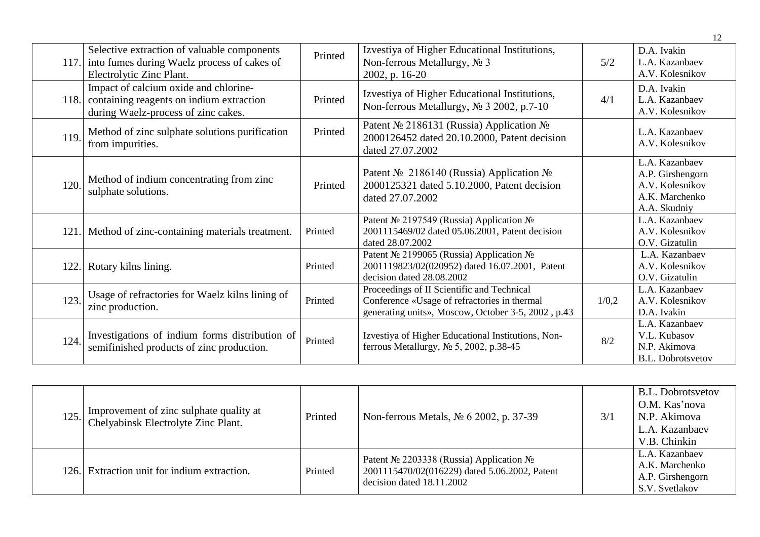| 117. | Selective extraction of valuable components<br>into fumes during Waelz process of cakes of<br>Electrolytic Zinc Plant.   | Printed | Izvestiya of Higher Educational Institutions,<br>Non-ferrous Metallurgy, No 3<br>2002, p. 16-20                                                  | 5/2   | D.A. Ivakin<br>L.A. Kazanbaev<br>A.V. Kolesnikov                                        |
|------|--------------------------------------------------------------------------------------------------------------------------|---------|--------------------------------------------------------------------------------------------------------------------------------------------------|-------|-----------------------------------------------------------------------------------------|
| 118. | Impact of calcium oxide and chlorine-<br>containing reagents on indium extraction<br>during Waelz-process of zinc cakes. | Printed | Izvestiya of Higher Educational Institutions,<br>Non-ferrous Metallurgy, No 3 2002, p.7-10                                                       | 4/1   | D.A. Ivakin<br>L.A. Kazanbaev<br>A.V. Kolesnikov                                        |
| 119. | Method of zinc sulphate solutions purification<br>from impurities.                                                       | Printed | Patent № 2186131 (Russia) Application №<br>2000126452 dated 20.10.2000, Patent decision<br>dated 27.07.2002                                      |       | L.A. Kazanbaev<br>A.V. Kolesnikov                                                       |
| 120. | Method of indium concentrating from zinc<br>sulphate solutions.                                                          | Printed | Patent № 2186140 (Russia) Application №<br>2000125321 dated 5.10.2000, Patent decision<br>dated 27.07.2002                                       |       | L.A. Kazanbaev<br>A.P. Girshengorn<br>A.V. Kolesnikov<br>A.K. Marchenko<br>A.A. Skudniy |
| 121. | Method of zinc-containing materials treatment.                                                                           | Printed | Patent № 2197549 (Russia) Application №<br>2001115469/02 dated 05.06.2001, Patent decision<br>dated 28.07.2002                                   |       | L.A. Kazanbaev<br>A.V. Kolesnikov<br>O.V. Gizatulin                                     |
| 122. | Rotary kilns lining.                                                                                                     | Printed | Patent № 2199065 (Russia) Application №<br>2001119823/02(020952) dated 16.07.2001, Patent<br>decision dated 28.08.2002                           |       | L.A. Kazanbaev<br>A.V. Kolesnikov<br>O.V. Gizatulin                                     |
| 123. | Usage of refractories for Waelz kilns lining of<br>zinc production.                                                      | Printed | Proceedings of II Scientific and Technical<br>Conference «Usage of refractories in thermal<br>generating units», Moscow, October 3-5, 2002, p.43 | 1/0,2 | L.A. Kazanbaev<br>A.V. Kolesnikov<br>D.A. Ivakin                                        |
| 124. | Investigations of indium forms distribution of<br>semifinished products of zinc production.                              | Printed | Izvestiya of Higher Educational Institutions, Non-<br>ferrous Metallurgy, $N2$ 5, 2002, p.38-45                                                  | 8/2   | L.A. Kazanbaev<br>V.L. Kubasov<br>N.P. Akimova<br>B.L. Dobrotsvetov                     |

| 125.  | Improvement of zinc sulphate quality at<br>Chelyabinsk Electrolyte Zinc Plant. | Printed | Non-ferrous Metals, № 6 2002, p. 37-39                                                                                  | 3/1 | B.L. Dobrotsvetov<br>O.M. Kas'nova<br>N.P. Akimova<br>L.A. Kazanbaev<br>V.B. Chinkin |
|-------|--------------------------------------------------------------------------------|---------|-------------------------------------------------------------------------------------------------------------------------|-----|--------------------------------------------------------------------------------------|
| 126.1 | Extraction unit for indium extraction.                                         | Printed | Patent Nº 2203338 (Russia) Application Nº<br>2001115470/02(016229) dated 5.06.2002, Patent<br>decision dated 18.11.2002 |     | L.A. Kazanbaev<br>A.K. Marchenko<br>A.P. Girshengorn<br>S.V. Svetlakov               |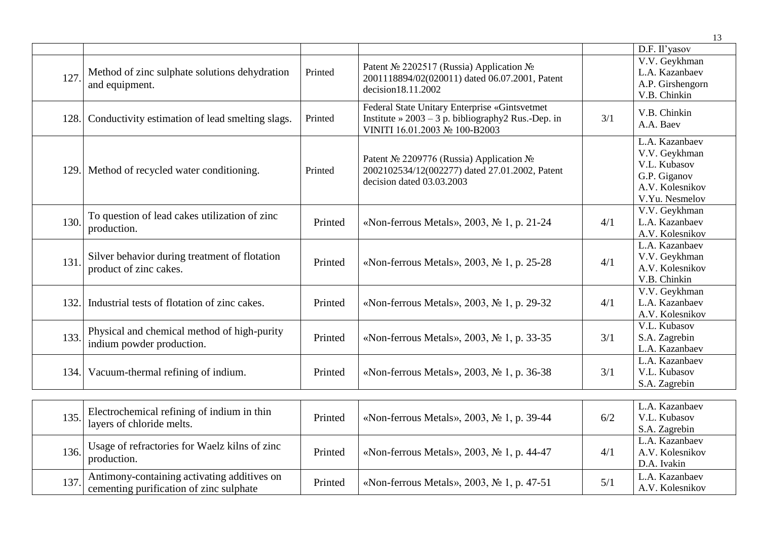|      |                                                                                        |         |                                                                                                                                               |     | 13                                                                                                   |
|------|----------------------------------------------------------------------------------------|---------|-----------------------------------------------------------------------------------------------------------------------------------------------|-----|------------------------------------------------------------------------------------------------------|
|      |                                                                                        |         |                                                                                                                                               |     | D.F. Il'yasov                                                                                        |
| 127  | Method of zinc sulphate solutions dehydration<br>and equipment.                        | Printed | Patent № 2202517 (Russia) Application №<br>2001118894/02(020011) dated 06.07.2001, Patent<br>decision18.11.2002                               |     | V.V. Geykhman<br>L.A. Kazanbaev<br>A.P. Girshengorn<br>V.B. Chinkin                                  |
| 128. | Conductivity estimation of lead smelting slags.                                        | Printed | Federal State Unitary Enterprise «Gintsvetmet<br>Institute $\approx 2003 - 3$ p. bibliography 2 Rus.-Dep. in<br>VINITI 16.01.2003 № 100-B2003 | 3/1 | V.B. Chinkin<br>A.A. Baev                                                                            |
|      | 129. Method of recycled water conditioning.                                            | Printed | Patent № 2209776 (Russia) Application №<br>2002102534/12(002277) dated 27.01.2002, Patent<br>decision dated 03.03.2003                        |     | L.A. Kazanbaev<br>V.V. Geykhman<br>V.L. Kubasov<br>G.P. Giganov<br>A.V. Kolesnikov<br>V.Yu. Nesmelov |
| 130  | To question of lead cakes utilization of zinc<br>production.                           | Printed | «Non-ferrous Metals», 2003, No 1, p. 21-24                                                                                                    | 4/1 | V.V. Geykhman<br>L.A. Kazanbaev<br>A.V. Kolesnikov                                                   |
| 131. | Silver behavior during treatment of flotation<br>product of zinc cakes.                | Printed | «Non-ferrous Metals», 2003, No 1, p. 25-28                                                                                                    | 4/1 | L.A. Kazanbaev<br>V.V. Geykhman<br>A.V. Kolesnikov<br>V.B. Chinkin                                   |
| 132. | Industrial tests of flotation of zinc cakes.                                           | Printed | «Non-ferrous Metals», 2003, No 1, p. 29-32                                                                                                    | 4/1 | V.V. Geykhman<br>L.A. Kazanbaev<br>A.V. Kolesnikov                                                   |
| 133. | Physical and chemical method of high-purity<br>indium powder production.               | Printed | «Non-ferrous Metals», 2003, No 1, p. 33-35                                                                                                    | 3/1 | V.L. Kubasov<br>S.A. Zagrebin<br>L.A. Kazanbaev                                                      |
| 134. | Vacuum-thermal refining of indium.                                                     | Printed | «Non-ferrous Metals», 2003, No 1, p. 36-38                                                                                                    | 3/1 | L.A. Kazanbaev<br>V.L. Kubasov<br>S.A. Zagrebin                                                      |
| 135. | Electrochemical refining of indium in thin<br>layers of chloride melts.                | Printed | «Non-ferrous Metals», 2003, No 1, p. 39-44                                                                                                    | 6/2 | L.A. Kazanbaev<br>V.L. Kubasov<br>S.A. Zagrebin                                                      |
| 136. | Usage of refractories for Waelz kilns of zinc<br>production.                           | Printed | «Non-ferrous Metals», 2003, No 1, p. 44-47                                                                                                    | 4/1 | L.A. Kazanbaev<br>A.V. Kolesnikov<br>D.A. Ivakin                                                     |
| 137  | Antimony-containing activating additives on<br>cementing purification of zinc sulphate | Printed | «Non-ferrous Metals», 2003, No 1, p. 47-51                                                                                                    | 5/1 | L.A. Kazanbaev<br>A.V. Kolesnikov                                                                    |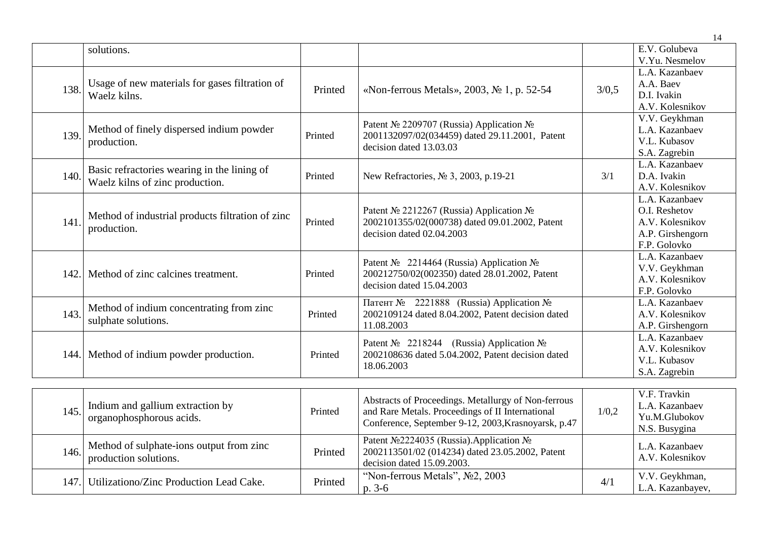|      |                                                  |         |                                                                 |       | 14                                  |
|------|--------------------------------------------------|---------|-----------------------------------------------------------------|-------|-------------------------------------|
|      | solutions.                                       |         |                                                                 |       | E.V. Golubeva                       |
|      |                                                  |         |                                                                 |       | V.Yu. Nesmelov                      |
|      |                                                  |         |                                                                 |       | L.A. Kazanbaev                      |
| 138. | Usage of new materials for gases filtration of   | Printed | «Non-ferrous Metals», 2003, No 1, p. 52-54                      | 3/0,5 | A.A. Baev                           |
|      | Waelz kilns.                                     |         |                                                                 |       | D.I. Ivakin                         |
|      |                                                  |         |                                                                 |       | A.V. Kolesnikov                     |
|      |                                                  |         | Patent № 2209707 (Russia) Application №                         |       | V.V. Geykhman                       |
| 139. | Method of finely dispersed indium powder         | Printed | 2001132097/02(034459) dated 29.11.2001, Patent                  |       | L.A. Kazanbaev                      |
|      | production.                                      |         | decision dated 13.03.03                                         |       | V.L. Kubasov                        |
|      |                                                  |         |                                                                 |       | S.A. Zagrebin                       |
|      | Basic refractories wearing in the lining of      |         |                                                                 |       | L.A. Kazanbaev                      |
| 140. | Waelz kilns of zinc production.                  | Printed | New Refractories, № 3, 2003, p.19-21                            | 3/1   | D.A. Ivakin                         |
|      |                                                  |         |                                                                 |       | A.V. Kolesnikov                     |
|      |                                                  |         |                                                                 |       | L.A. Kazanbaev                      |
|      | Method of industrial products filtration of zinc |         | Patent № 2212267 (Russia) Application №                         |       | O.I. Reshetov                       |
| 141. | production.                                      | Printed | 2002101355/02(000738) dated 09.01.2002, Patent                  |       | A.V. Kolesnikov                     |
|      |                                                  |         | decision dated 02.04.2003                                       |       | A.P. Girshengorn                    |
|      |                                                  |         |                                                                 |       | F.P. Golovko                        |
|      |                                                  |         | Patent № 2214464 (Russia) Application №                         |       | L.A. Kazanbaev                      |
| 142. | Method of zinc calcines treatment.               | Printed | 200212750/02(002350) dated 28.01.2002, Patent                   |       | V.V. Geykhman                       |
|      |                                                  |         | decision dated 15.04.2003                                       |       | A.V. Kolesnikov                     |
|      |                                                  |         |                                                                 |       | F.P. Golovko                        |
| 143. | Method of indium concentrating from zinc         | Printed | Патент № 2221888 (Russia) Application №                         |       | L.A. Kazanbaev                      |
|      | sulphate solutions.                              |         | 2002109124 dated 8.04.2002, Patent decision dated<br>11.08.2003 |       | A.V. Kolesnikov<br>A.P. Girshengorn |
|      |                                                  |         |                                                                 |       | L.A. Kazanbaev                      |
|      |                                                  |         | Patent № 2218244 (Russia) Application №                         |       | A.V. Kolesnikov                     |
| 144. | Method of indium powder production.              | Printed | 2002108636 dated 5.04.2002, Patent decision dated               |       | V.L. Kubasov                        |
|      |                                                  |         | 18.06.2003                                                      |       | S.A. Zagrebin                       |
|      |                                                  |         |                                                                 |       |                                     |
|      |                                                  |         |                                                                 |       | V.F. Travkin                        |
|      | Indium and gallium extraction by                 |         | Abstracts of Proceedings. Metallurgy of Non-ferrous             |       | L.A. Kazanbaev                      |
| 145. | organophosphorous acids.                         | Printed | and Rare Metals. Proceedings of II International                | 1/0,2 | Yu.M.Glubokov                       |
|      |                                                  |         | Conference, September 9-12, 2003, Krasnoyarsk, p.47             |       | N.S. Busygina                       |
|      |                                                  |         | Patent Nº2224035 (Russia). Application Nº                       |       |                                     |
| 146. | Method of sulphate-ions output from zinc         | Printed | 2002113501/02 (014234) dated 23.05.2002, Patent                 |       | L.A. Kazanbaev                      |
|      | production solutions.                            |         | decision dated 15.09.2003.                                      |       | A.V. Kolesnikov                     |

p. 3-6

147. Utilizationo/Zinc Production Lead Cake. Printed "Non-ferrous Metals", №2, 2003

4/1 V.V. Geykhman, L.A. Kazanbayev,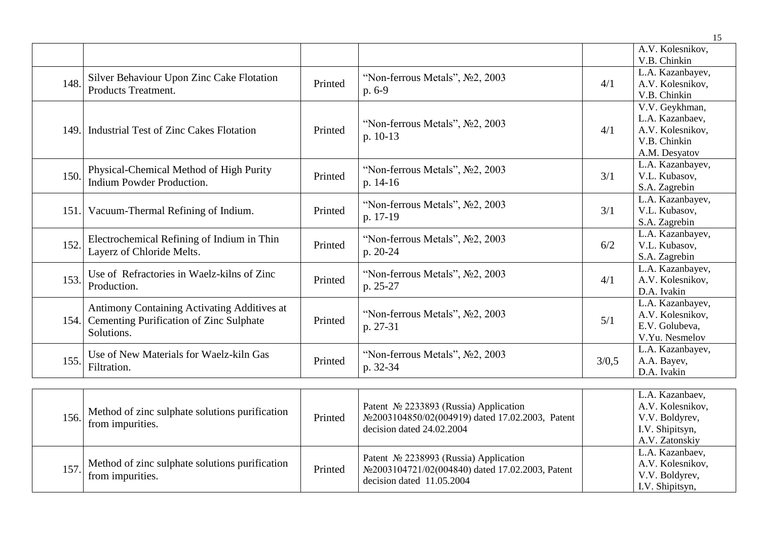|      |                                              |         |                                                 |       | 15                               |
|------|----------------------------------------------|---------|-------------------------------------------------|-------|----------------------------------|
|      |                                              |         |                                                 |       | A.V. Kolesnikov,                 |
|      |                                              |         |                                                 |       | V.B. Chinkin                     |
|      | Silver Behaviour Upon Zinc Cake Flotation    |         | "Non-ferrous Metals", No2, 2003                 |       | L.A. Kazanbayev,                 |
| 148. | Products Treatment.                          | Printed | $p.6-9$                                         | 4/1   | A.V. Kolesnikov,                 |
|      |                                              |         |                                                 |       | V.B. Chinkin                     |
|      |                                              |         |                                                 |       | V.V. Geykhman,                   |
|      |                                              |         | "Non-ferrous Metals", $N2$ , 2003               |       | L.A. Kazanbaev,                  |
| 149. | Industrial Test of Zinc Cakes Flotation      | Printed | $p. 10-13$                                      | 4/1   | A.V. Kolesnikov,                 |
|      |                                              |         |                                                 |       | V.B. Chinkin                     |
|      |                                              |         |                                                 |       | A.M. Desyatov                    |
|      | Physical-Chemical Method of High Purity      |         | "Non-ferrous Metals", No2, 2003                 | 3/1   | L.A. Kazanbayev,                 |
| 150. | Indium Powder Production.                    | Printed | p. $14-16$                                      |       | V.L. Kubasov,                    |
|      |                                              |         |                                                 |       | S.A. Zagrebin                    |
|      | Vacuum-Thermal Refining of Indium.           | Printed | "Non-ferrous Metals", $N2$ , 2003<br>p. 17-19   | 3/1   | L.A. Kazanbayev,                 |
| 151. |                                              |         |                                                 |       | V.L. Kubasov,                    |
|      |                                              |         |                                                 |       | S.A. Zagrebin                    |
|      | Electrochemical Refining of Indium in Thin   |         | "Non-ferrous Metals", $N2$ , 2003<br>$p. 20-24$ | 6/2   | L.A. Kazanbayev,                 |
| 152. | Layerz of Chloride Melts.                    | Printed |                                                 |       | V.L. Kubasov,                    |
|      |                                              |         |                                                 |       | S.A. Zagrebin                    |
|      | Use of Refractories in Waelz-kilns of Zinc   |         | "Non-ferrous Metals", No2, 2003                 |       | L.A. Kazanbayev,                 |
| 153. | Production.                                  | Printed | $p. 25-27$                                      | 4/1   | A.V. Kolesnikov,                 |
|      |                                              |         |                                                 |       | D.A. Ivakin                      |
|      | Antimony Containing Activating Additives at  |         |                                                 |       | L.A. Kazanbayev,                 |
|      | 154. Cementing Purification of Zinc Sulphate | Printed | "Non-ferrous Metals", No2, 2003                 | 5/1   | A.V. Kolesnikov,                 |
|      | Solutions.                                   |         | p. 27-31                                        |       | E.V. Golubeva,<br>V.Yu. Nesmelov |
|      |                                              |         |                                                 |       |                                  |
| 155. | Use of New Materials for Waelz-kiln Gas      | Printed | "Non-ferrous Metals", $N2$ , 2003               | 3/0.5 | L.A. Kazanbayev,                 |
|      | Filtration.                                  |         | p. 32-34                                        |       | A.A. Bayev,<br>D.A. Ivakin       |
|      |                                              |         |                                                 |       |                                  |

| 156.  | Method of zinc sulphate solutions purification<br>from impurities. | Printed | Patent $\mathcal{N}$ <sup>2233893</sup> (Russia) Application<br>No 2003104850/02(004919) dated 17.02.2003, Patent<br>decision dated 24.02.2004 | L.A. Kazanbaev,<br>A.V. Kolesnikov,<br>V.V. Boldyrev,<br>I.V. Shipitsyn,<br>A.V. Zatonskiy |
|-------|--------------------------------------------------------------------|---------|------------------------------------------------------------------------------------------------------------------------------------------------|--------------------------------------------------------------------------------------------|
| 157.I | Method of zinc sulphate solutions purification<br>from impurities. | Printed | Patent $\mathcal{N}$ <sup>2238993</sup> (Russia) Application<br>No 2003104721/02(004840) dated 17.02.2003, Patent<br>decision dated 11.05.2004 | L.A. Kazanbaev,<br>A.V. Kolesnikov,<br>V.V. Boldyrev,<br>I.V. Shipitsyn,                   |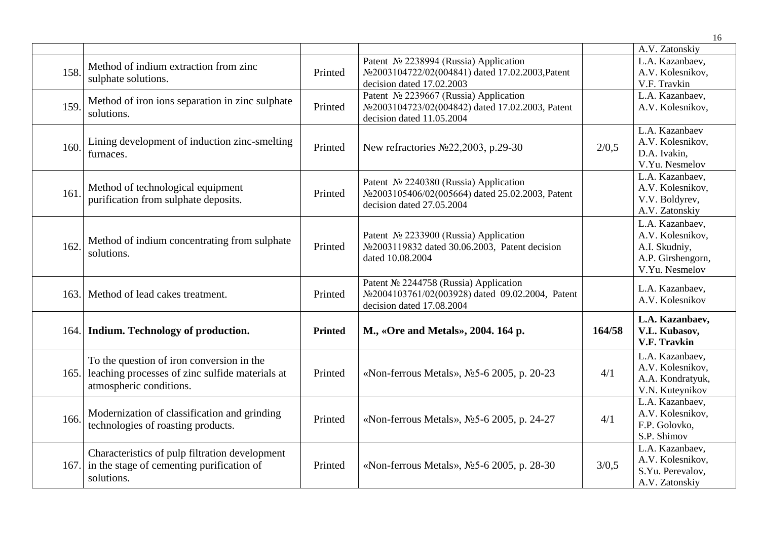|      |                                                                                                                         |                |                                                                                                                         |        | 16                                                                                          |
|------|-------------------------------------------------------------------------------------------------------------------------|----------------|-------------------------------------------------------------------------------------------------------------------------|--------|---------------------------------------------------------------------------------------------|
|      |                                                                                                                         |                |                                                                                                                         |        | A.V. Zatonskiy                                                                              |
| 158. | Method of indium extraction from zinc<br>sulphate solutions.                                                            | Printed        | Patent Nº 2238994 (Russia) Application<br>No2003104722/02(004841) dated 17.02.2003, Patent<br>decision dated 17.02.2003 |        | L.A. Kazanbaev,<br>A.V. Kolesnikov,<br>V.F. Travkin                                         |
| 159. | Method of iron ions separation in zinc sulphate<br>solutions.                                                           | Printed        | Patent № 2239667 (Russia) Application<br>No2003104723/02(004842) dated 17.02.2003, Patent<br>decision dated 11.05.2004  |        | L.A. Kazanbaev,<br>A.V. Kolesnikov,                                                         |
| 160. | Lining development of induction zinc-smelting<br>furnaces.                                                              | Printed        | New refractories Nº22,2003, p.29-30                                                                                     | 2/0,5  | L.A. Kazanbaev<br>A.V. Kolesnikov,<br>D.A. Ivakin,<br>V.Yu. Nesmelov                        |
| 161  | Method of technological equipment<br>purification from sulphate deposits.                                               | Printed        | Patent № 2240380 (Russia) Application<br>No2003105406/02(005664) dated 25.02.2003, Patent<br>decision dated 27.05.2004  |        | L.A. Kazanbaev,<br>A.V. Kolesnikov,<br>V.V. Boldyrev,<br>A.V. Zatonskiy                     |
| 162. | Method of indium concentrating from sulphate<br>solutions.                                                              | Printed        | Patent № 2233900 (Russia) Application<br>No 2003119832 dated 30.06.2003, Patent decision<br>dated 10.08.2004            |        | L.A. Kazanbaev,<br>A.V. Kolesnikov,<br>A.I. Skudniy,<br>A.P. Girshengorn,<br>V.Yu. Nesmelov |
| 163. | Method of lead cakes treatment.                                                                                         | Printed        | Patent № 2244758 (Russia) Application<br>No2004103761/02(003928) dated 09.02.2004, Patent<br>decision dated 17.08.2004  |        | L.A. Kazanbaev,<br>A.V. Kolesnikov                                                          |
| 164. | Indium. Technology of production.                                                                                       | <b>Printed</b> | M., «Ore and Metals», 2004. 164 p.                                                                                      | 164/58 | L.A. Kazanbaev,<br>V.L. Kubasov,<br><b>V.F. Travkin</b>                                     |
| 165. | To the question of iron conversion in the<br>leaching processes of zinc sulfide materials at<br>atmospheric conditions. | Printed        | «Non-ferrous Metals», No. 5-6 2005, p. 20-23                                                                            | 4/1    | L.A. Kazanbaev,<br>A.V. Kolesnikov,<br>A.A. Kondratyuk,<br>V.N. Kuteynikov                  |
| 166. | Modernization of classification and grinding<br>technologies of roasting products.                                      | Printed        | «Non-ferrous Metals», No5-6 2005, p. 24-27                                                                              | 4/1    | L.A. Kazanbaev,<br>A.V. Kolesnikov,<br>F.P. Golovko,<br>S.P. Shimov                         |
|      | Characteristics of pulp filtration development<br>167. in the stage of cementing purification of<br>solutions.          | Printed        | «Non-ferrous Metals», No. 5-6 2005, p. 28-30                                                                            | 3/0,5  | L.A. Kazanbaev,<br>A.V. Kolesnikov,<br>S.Yu. Perevalov,<br>A.V. Zatonskiy                   |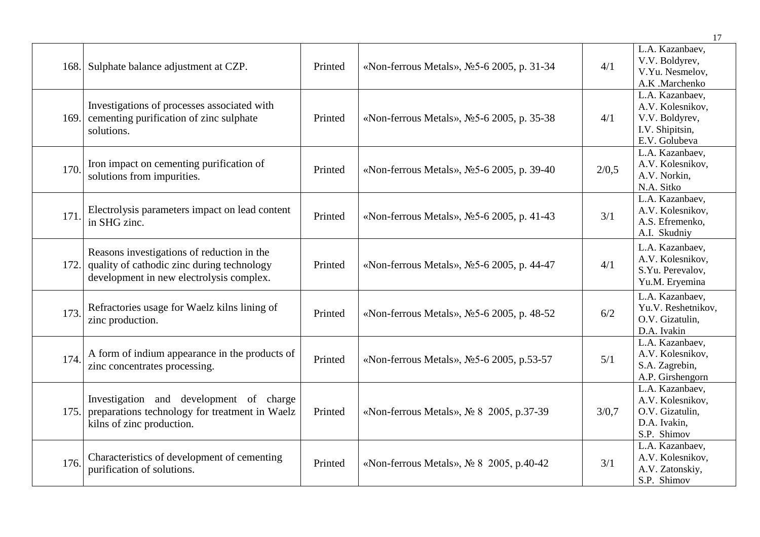|      |                                                                                                                                      |         |                                              |       | 17                                                                                        |
|------|--------------------------------------------------------------------------------------------------------------------------------------|---------|----------------------------------------------|-------|-------------------------------------------------------------------------------------------|
| 168. | Sulphate balance adjustment at CZP.                                                                                                  | Printed | «Non-ferrous Metals», Nº5-6 2005, p. 31-34   | 4/1   | L.A. Kazanbaev,<br>V.V. Boldyrev,<br>V.Yu. Nesmelov,<br>A.K .Marchenko                    |
| 169. | Investigations of processes associated with<br>cementing purification of zinc sulphate<br>solutions.                                 | Printed | «Non-ferrous Metals», No. 5-6 2005, p. 35-38 | 4/1   | L.A. Kazanbaev,<br>A.V. Kolesnikov,<br>V.V. Boldyrev,<br>I.V. Shipitsin,<br>E.V. Golubeva |
| 170. | Iron impact on cementing purification of<br>solutions from impurities.                                                               | Printed | «Non-ferrous Metals», No 5-6 2005, p. 39-40  | 2/0,5 | L.A. Kazanbaev,<br>A.V. Kolesnikov,<br>A.V. Norkin,<br>N.A. Sitko                         |
| 171. | Electrolysis parameters impact on lead content<br>in SHG zinc.                                                                       | Printed | «Non-ferrous Metals», No. 5-6 2005, p. 41-43 | 3/1   | L.A. Kazanbaev,<br>A.V. Kolesnikov,<br>A.S. Efremenko,<br>A.I. Skudniy                    |
| 172. | Reasons investigations of reduction in the<br>quality of cathodic zinc during technology<br>development in new electrolysis complex. | Printed | «Non-ferrous Metals», No 5-6 2005, p. 44-47  | 4/1   | L.A. Kazanbaev,<br>A.V. Kolesnikov,<br>S.Yu. Perevalov,<br>Yu.M. Eryemina                 |
| 173. | Refractories usage for Waelz kilns lining of<br>zinc production.                                                                     | Printed | «Non-ferrous Metals», No 5-6 2005, p. 48-52  | 6/2   | L.A. Kazanbaev,<br>Yu.V. Reshetnikov,<br>O.V. Gizatulin.<br>D.A. Ivakin                   |
| 174. | A form of indium appearance in the products of<br>zinc concentrates processing.                                                      | Printed | «Non-ferrous Metals», No 5-6 2005, p.53-57   | 5/1   | L.A. Kazanbaev,<br>A.V. Kolesnikov,<br>S.A. Zagrebin,<br>A.P. Girshengorn                 |
| 175. | Investigation and development of charge<br>preparations technology for treatment in Waelz<br>kilns of zinc production.               | Printed | «Non-ferrous Metals», No 8 2005, p.37-39     | 3/0,7 | L.A. Kazanbaev,<br>A.V. Kolesnikov,<br>O.V. Gizatulin,<br>D.A. Ivakin,<br>S.P. Shimov     |
| 176. | Characteristics of development of cementing<br>purification of solutions.                                                            | Printed | «Non-ferrous Metals», № 8 2005, p.40-42      | 3/1   | L.A. Kazanbaev,<br>A.V. Kolesnikov,<br>A.V. Zatonskiy,<br>S.P. Shimov                     |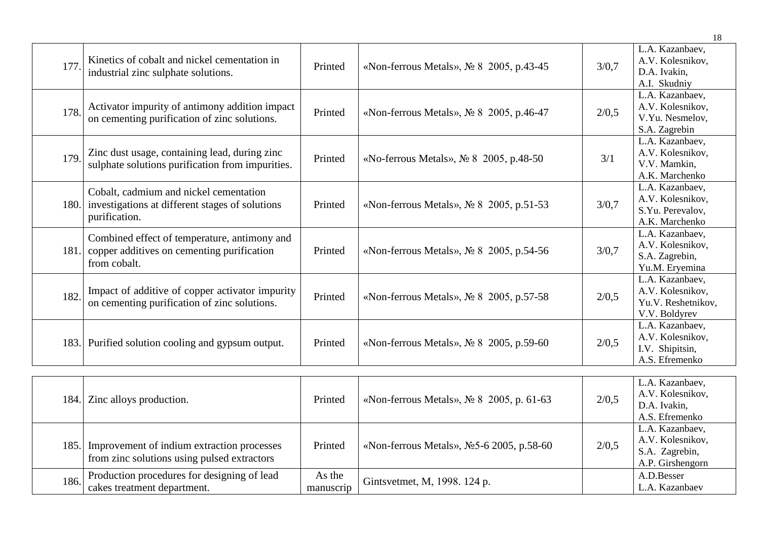|      |                                                                                                                 |         |                                            |       | 18                                                                         |
|------|-----------------------------------------------------------------------------------------------------------------|---------|--------------------------------------------|-------|----------------------------------------------------------------------------|
| 177. | Kinetics of cobalt and nickel cementation in<br>industrial zinc sulphate solutions.                             | Printed | «Non-ferrous Metals», No 8 2005, p.43-45   | 3/0,7 | L.A. Kazanbaev,<br>A.V. Kolesnikov,<br>D.A. Ivakin,<br>A.I. Skudniy        |
| 178. | Activator impurity of antimony addition impact<br>on cementing purification of zinc solutions.                  | Printed | «Non-ferrous Metals», № 8 2005, p.46-47    | 2/0,5 | L.A. Kazanbaev,<br>A.V. Kolesnikov,<br>V.Yu. Nesmelov,<br>S.A. Zagrebin    |
| 179. | Zinc dust usage, containing lead, during zinc<br>sulphate solutions purification from impurities.               | Printed | «No-ferrous Metals», $N_2$ 8 2005, p.48-50 | 3/1   | L.A. Kazanbaev,<br>A.V. Kolesnikov,<br>V.V. Mamkin,<br>A.K. Marchenko      |
|      | Cobalt, cadmium and nickel cementation<br>180. investigations at different stages of solutions<br>purification. | Printed | «Non-ferrous Metals», № 8 2005, p.51-53    | 3/0,7 | L.A. Kazanbaev,<br>A.V. Kolesnikov,<br>S.Yu. Perevalov,<br>A.K. Marchenko  |
|      | Combined effect of temperature, antimony and<br>181. copper additives on cementing purification<br>from cobalt. | Printed | «Non-ferrous Metals», № 8 2005, p.54-56    | 3/0,7 | L.A. Kazanbaev,<br>A.V. Kolesnikov,<br>S.A. Zagrebin,<br>Yu.M. Eryemina    |
| 182. | Impact of additive of copper activator impurity<br>on cementing purification of zinc solutions.                 | Printed | «Non-ferrous Metals», № 8 2005, p.57-58    | 2/0,5 | L.A. Kazanbaev,<br>A.V. Kolesnikov,<br>Yu.V. Reshetnikov,<br>V.V. Boldyrev |
|      | 183. Purified solution cooling and gypsum output.                                                               | Printed | «Non-ferrous Metals», No 8 2005, p.59-60   | 2/0,5 | L.A. Kazanbaev,<br>A.V. Kolesnikov,<br>I.V. Shipitsin,<br>A.S. Efremenko   |
|      | 184. Zinc alloys production.                                                                                    | Printed | «Non-ferrous Metals», No 8 2005, p. 61-63  | 2/0,5 | L.A. Kazanbaev,<br>A.V. Kolesnikov,<br>D.A. Ivakin,<br>A.S. Efremenko      |
| 185. | Improvement of indium extraction processes<br>from zinc solutions using pulsed extractors                       | Printed | «Non-ferrous Metals», No 5-6 2005, p.58-60 | 2/0,5 | L.A. Kazanbaev,<br>A.V. Kolesnikov,<br>S.A. Zagrebin,<br>A P Girshengorn   |

As the

A.P. Girshengorn

A.D.Besser L.A. Kazanbaev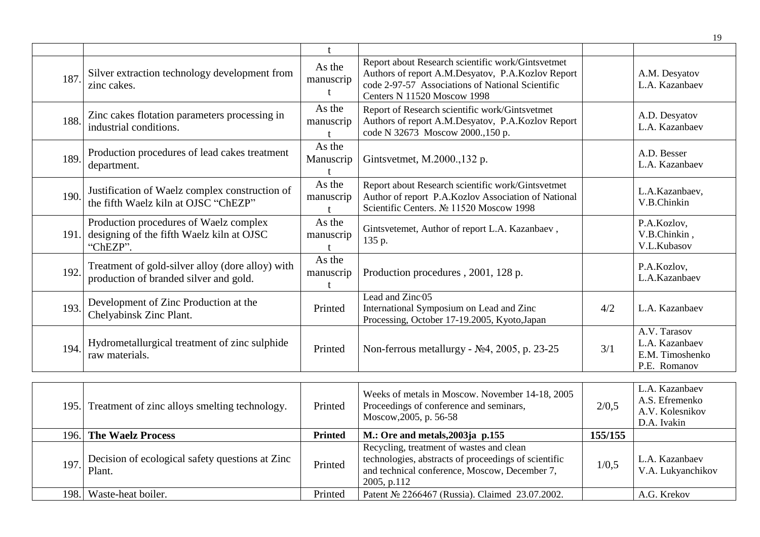| 187. | Silver extraction technology development from<br>zinc cakes.                                    | As the<br>manuscrip | Report about Research scientific work/Gintsvetmet<br>Authors of report A.M.Desyatov, P.A.Kozlov Report<br>code 2-97-57 Associations of National Scientific<br>Centers N 11520 Moscow 1998 |     | A.M. Desyatov<br>L.A. Kazanbaev                                   |
|------|-------------------------------------------------------------------------------------------------|---------------------|-------------------------------------------------------------------------------------------------------------------------------------------------------------------------------------------|-----|-------------------------------------------------------------------|
| 188. | Zinc cakes flotation parameters processing in<br>industrial conditions.                         | As the<br>manuscrip | Report of Research scientific work/Gintsvetmet<br>Authors of report A.M.Desyatov, P.A.Kozlov Report<br>code N 32673 Moscow 2000.,150 p.                                                   |     | A.D. Desyatov<br>L.A. Kazanbaev                                   |
| 189. | Production procedures of lead cakes treatment<br>department.                                    | As the<br>Manuscrip | Gintsvetmet, M.2000., 132 p.                                                                                                                                                              |     | A.D. Besser<br>L.A. Kazanbaev                                     |
| 190. | Justification of Waelz complex construction of<br>the fifth Waelz kiln at OJSC "ChEZP"          | As the<br>manuscrip | Report about Research scientific work/Gintsvetmet<br>Author of report P.A.Kozlov Association of National<br>Scientific Centers. Nº 11520 Moscow 1998                                      |     | L.A.Kazanbaev,<br>V.B.Chinkin                                     |
| 191. | Production procedures of Waelz complex<br>designing of the fifth Waelz kiln at OJSC<br>"ChEZP". | As the<br>manuscrip | Gintsvetemet, Author of report L.A. Kazanbaev,<br>135 p.                                                                                                                                  |     | P.A.Kozlov,<br>V.B.Chinkin,<br>V.L.Kubasov                        |
| 192. | Treatment of gold-silver alloy (dore alloy) with<br>production of branded silver and gold.      | As the<br>manuscrip | Production procedures, 2001, 128 p.                                                                                                                                                       |     | P.A.Kozlov,<br>L.A.Kazanbaev                                      |
| 193. | Development of Zinc Production at the<br>Chelyabinsk Zinc Plant.                                | Printed             | Lead and Zinc <sup>05</sup><br>International Symposium on Lead and Zinc<br>Processing, October 17-19.2005, Kyoto, Japan                                                                   | 4/2 | L.A. Kazanbaev                                                    |
| 194. | Hydrometallurgical treatment of zinc sulphide<br>raw materials.                                 | Printed             | Non-ferrous metallurgy - $N24$ , 2005, p. 23-25                                                                                                                                           | 3/1 | A.V. Tarasov<br>L.A. Kazanbaev<br>E.M. Timoshenko<br>P.E. Romanov |

|       | 195. Treatment of zinc alloys smelting technology.        | Printed        | Weeks of metals in Moscow. November 14-18, 2005<br>Proceedings of conference and seminars,<br>Moscow, 2005, p. 56-58                                             | 2/0,5   | L.A. Kazanbaev<br>A.S. Efremenko<br>A.V. Kolesnikov<br>D.A. Ivakin |
|-------|-----------------------------------------------------------|----------------|------------------------------------------------------------------------------------------------------------------------------------------------------------------|---------|--------------------------------------------------------------------|
|       | 196. The Waelz Process                                    | <b>Printed</b> | M.: Ore and metals, $2003$ ja p.155                                                                                                                              | 155/155 |                                                                    |
| 197.1 | Decision of ecological safety questions at Zinc<br>Plant. | Printed        | Recycling, treatment of wastes and clean<br>technologies, abstracts of proceedings of scientific<br>and technical conference, Moscow, December 7,<br>2005, p.112 | 1/0,5   | L.A. Kazanbaev<br>V.A. Lukyanchikov                                |
| 198.  | Waste-heat boiler.                                        | Printed        | Patent № 2266467 (Russia). Claimed 23.07.2002.                                                                                                                   |         | A.G. Krekov                                                        |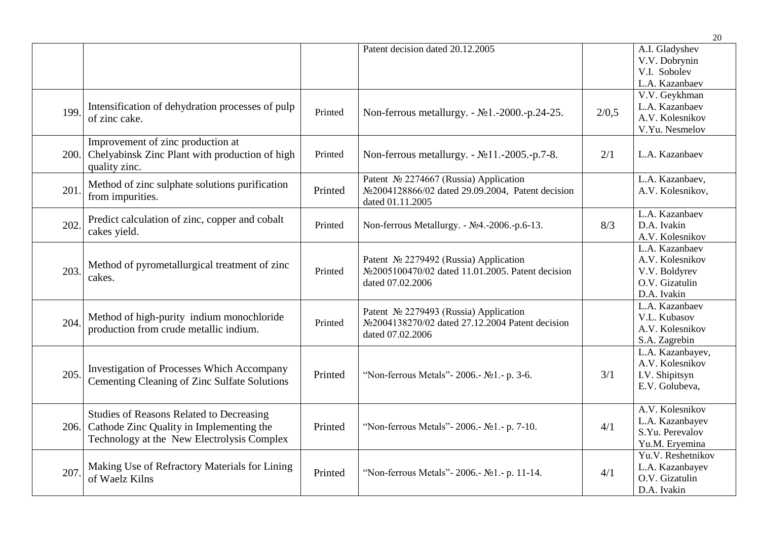|      |                                                                                                                                           |         |                                                                                                                  |       | 20                                                                                  |
|------|-------------------------------------------------------------------------------------------------------------------------------------------|---------|------------------------------------------------------------------------------------------------------------------|-------|-------------------------------------------------------------------------------------|
|      |                                                                                                                                           |         | Patent decision dated 20.12.2005                                                                                 |       | A.I. Gladyshev<br>V.V. Dobrynin<br>V.I. Sobolev<br>L.A. Kazanbaev                   |
| 199  | Intensification of dehydration processes of pulp<br>of zinc cake.                                                                         | Printed | Non-ferrous metallurgy. - №1.-2000.-p.24-25.                                                                     | 2/0.5 | V.V. Geykhman<br>L.A. Kazanbaev<br>A.V. Kolesnikov<br>V.Yu. Nesmelov                |
| 200. | Improvement of zinc production at<br>Chelyabinsk Zinc Plant with production of high<br>quality zinc.                                      | Printed | Non-ferrous metallurgy. - №11.-2005.-р.7-8.                                                                      | 2/1   | L.A. Kazanbaev                                                                      |
| 201. | Method of zinc sulphate solutions purification<br>from impurities.                                                                        | Printed | Patent Nº 2274667 (Russia) Application<br>No2004128866/02 dated 29.09.2004, Patent decision<br>dated 01.11.2005  |       | L.A. Kazanbaev,<br>A.V. Kolesnikov,                                                 |
| 202  | Predict calculation of zinc, copper and cobalt<br>cakes yield.                                                                            | Printed | Non-ferrous Metallurgy. - №4.-2006.-p.6-13.                                                                      | 8/3   | L.A. Kazanbaev<br>D.A. Ivakin<br>A.V. Kolesnikov                                    |
| 203. | Method of pyrometallurgical treatment of zinc<br>cakes.                                                                                   | Printed | Patent Nº 2279492 (Russia) Application<br>No 2005100470/02 dated 11.01.2005. Patent decision<br>dated 07.02.2006 |       | L.A. Kazanbaev<br>A.V. Kolesnikov<br>V.V. Boldyrev<br>O.V. Gizatulin<br>D.A. Ivakin |
| 204. | Method of high-purity indium monochloride<br>production from crude metallic indium.                                                       | Printed | Patent Nº 2279493 (Russia) Application<br>No 2004138270/02 dated 27.12.2004 Patent decision<br>dated 07.02.2006  |       | L.A. Kazanbaev<br>V.L. Kubasov<br>A.V. Kolesnikov<br>S.A. Zagrebin                  |
| 205. | <b>Investigation of Processes Which Accompany</b><br>Cementing Cleaning of Zinc Sulfate Solutions                                         | Printed | "Non-ferrous Metals" - 2006. - No <sub>1</sub> . - p. 3-6.                                                       | 3/1   | L.A. Kazanbayev,<br>A.V. Kolesnikov<br>I.V. Shipitsyn<br>E.V. Golubeva,             |
| 206. | <b>Studies of Reasons Related to Decreasing</b><br>Cathode Zinc Quality in Implementing the<br>Technology at the New Electrolysis Complex | Printed | "Non-ferrous Metals" - 2006. - No <sub>1</sub> . - p. 7-10.                                                      | 4/1   | A.V. Kolesnikov<br>L.A. Kazanbayev<br>S.Yu. Perevalov<br>Yu.M. Eryemina             |
| 207  | Making Use of Refractory Materials for Lining<br>of Waelz Kilns                                                                           | Printed | "Non-ferrous Metals" - 2006. - No <sub>1</sub> . - p. 11-14.                                                     | 4/1   | Yu.V. Reshetnikov<br>L.A. Kazanbayev<br>O.V. Gizatulin<br>D.A. Ivakin               |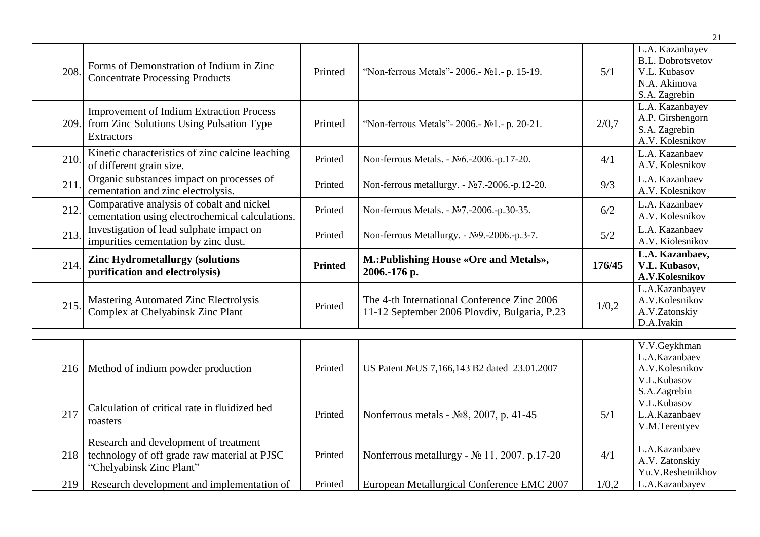| 208. | Forms of Demonstration of Indium in Zinc<br><b>Concentrate Processing Products</b>                                    | Printed        | "Non-ferrous Metals" - 2006. - No <sub>1.</sub> - p. 15-19.                                 | 5/1    | L.A. Kazanbayev<br><b>B.L. Dobrotsvetov</b><br>V.L. Kubasov<br>N.A. Akimova<br>S.A. Zagrebin |
|------|-----------------------------------------------------------------------------------------------------------------------|----------------|---------------------------------------------------------------------------------------------|--------|----------------------------------------------------------------------------------------------|
|      | <b>Improvement of Indium Extraction Process</b><br>209. from Zinc Solutions Using Pulsation Type<br><b>Extractors</b> | Printed        | "Non-ferrous Metals" - 2006. - No <sub>1</sub> . - p. 20-21.                                | 2/0,7  | L.A. Kazanbayev<br>A.P. Girshengorn<br>S.A. Zagrebin<br>A.V. Kolesnikov                      |
| 210. | Kinetic characteristics of zinc calcine leaching<br>of different grain size.                                          | Printed        | Non-ferrous Metals. - №6.-2006.-p.17-20.                                                    | 4/1    | L.A. Kazanbaev<br>A.V. Kolesnikov                                                            |
| 211. | Organic substances impact on processes of<br>cementation and zinc electrolysis.                                       | Printed        | Non-ferrous metallurgy. - $\mathcal{N}$ 27.-2006.-p.12-20.                                  | 9/3    | L.A. Kazanbaev<br>A.V. Kolesnikov                                                            |
| 212. | Comparative analysis of cobalt and nickel<br>cementation using electrochemical calculations.                          | Printed        | Non-ferrous Metals. - №7.-2006.-р.30-35.                                                    | 6/2    | L.A. Kazanbaev<br>A.V. Kolesnikov                                                            |
| 213. | Investigation of lead sulphate impact on<br>impurities cementation by zinc dust.                                      | Printed        | Non-ferrous Metallurgy. - №9.-2006.-p.3-7.                                                  | 5/2    | L.A. Kazanbaev<br>A.V. Kiolesnikov                                                           |
| 214. | <b>Zinc Hydrometallurgy (solutions)</b><br>purification and electrolysis)                                             | <b>Printed</b> | M.: Publishing House «Ore and Metals»,<br>2006.-176 p.                                      | 176/45 | L.A. Kazanbaev,<br>V.L. Kubasov,<br>A.V.Kolesnikov                                           |
| 215. | <b>Mastering Automated Zinc Electrolysis</b><br>Complex at Chelyabinsk Zinc Plant                                     | Printed        | The 4-th International Conference Zinc 2006<br>11-12 September 2006 Plovdiv, Bulgaria, P.23 | 1/0,2  | L.A.Kazanbayev<br>A.V.Kolesnikov<br>A.V.Zatonskiy<br>D.A.Ivakin                              |

| 216 | Method of indium powder production                                                                                | Printed | US Patent No US 7, 166, 143 B2 dated 23.01.2007         |       | V.V.Geykhman<br>L.A.Kazanbaev<br>A.V.Kolesnikov      |
|-----|-------------------------------------------------------------------------------------------------------------------|---------|---------------------------------------------------------|-------|------------------------------------------------------|
|     |                                                                                                                   |         |                                                         |       | V.L.Kubasov<br>S.A.Zagrebin                          |
| 217 | Calculation of critical rate in fluidized bed<br>roasters                                                         | Printed | Nonferrous metals - $N28$ , 2007, p. 41-45              | 5/1   | V.L.Kubasov<br>L.A.Kazanbaev<br>V.M.Terentyev        |
| 218 | Research and development of treatment<br>technology of off grade raw material at PJSC<br>"Chelyabinsk Zinc Plant" | Printed | Nonferrous metallurgy - $\mathcal{N}$ 11, 2007. p.17-20 | 4/1   | L.A.Kazanbaev<br>A.V. Zatonskiy<br>Yu.V.Reshetnikhov |
| 219 | Research development and implementation of                                                                        | Printed | European Metallurgical Conference EMC 2007              | 1/0.2 | L.A.Kazanbayev                                       |

21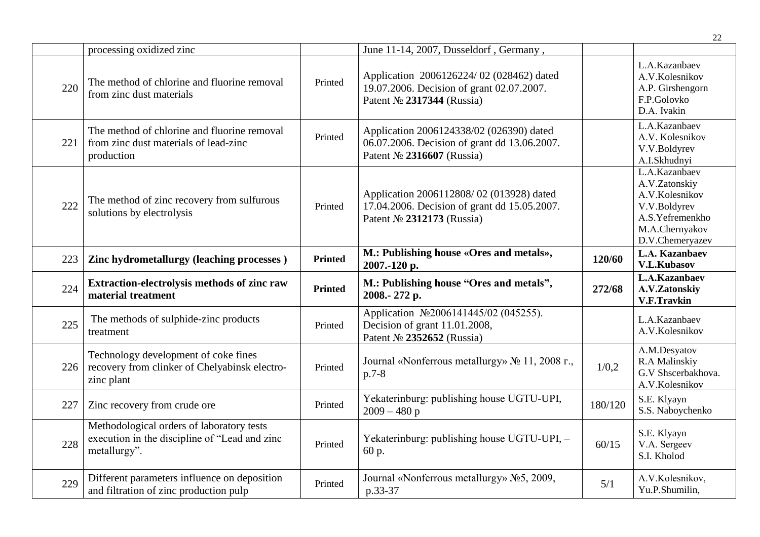|     |                                                                                                            |                |                                                                                                                        |         | 22                                                                                                                       |
|-----|------------------------------------------------------------------------------------------------------------|----------------|------------------------------------------------------------------------------------------------------------------------|---------|--------------------------------------------------------------------------------------------------------------------------|
|     | processing oxidized zinc                                                                                   |                | June 11-14, 2007, Dusseldorf, Germany,                                                                                 |         |                                                                                                                          |
| 220 | The method of chlorine and fluorine removal<br>from zinc dust materials                                    | Printed        | Application 2006126224/02 (028462) dated<br>19.07.2006. Decision of grant 02.07.2007.<br>Patent Nº 2317344 (Russia)    |         | L.A.Kazanbaev<br>A.V.Kolesnikov<br>A.P. Girshengorn<br>F.P.Golovko<br>D.A. Ivakin                                        |
| 221 | The method of chlorine and fluorine removal<br>from zinc dust materials of lead-zinc<br>production         | Printed        | Application 2006124338/02 (026390) dated<br>06.07.2006. Decision of grant dd 13.06.2007.<br>Patent № 2316607 (Russia)  |         | L.A.Kazanbaev<br>A.V. Kolesnikov<br>V.V.Boldyrev<br>A.I.Skhudnyi                                                         |
| 222 | The method of zinc recovery from sulfurous<br>solutions by electrolysis                                    | Printed        | Application 2006112808/02 (013928) dated<br>17.04.2006. Decision of grant dd 15.05.2007.<br>Patent Nº 2312173 (Russia) |         | L.A.Kazanbaev<br>A.V.Zatonskiy<br>A.V.Kolesnikov<br>V.V.Boldyrev<br>A.S.Yefremenkho<br>M.A.Chernyakov<br>D.V.Chemeryazev |
| 223 | Zinc hydrometallurgy (leaching processes)                                                                  | <b>Printed</b> | M.: Publishing house «Ores and metals»,<br>2007.-120 p.                                                                | 120/60  | L.A. Kazanbaev<br><b>V.L.Kubasov</b>                                                                                     |
| 224 | Extraction-electrolysis methods of zinc raw<br>material treatment                                          | <b>Printed</b> | M.: Publishing house "Ores and metals",<br>2008.-272 p.                                                                | 272/68  | L.A.Kazanbaev<br>A.V.Zatonskiy<br>V.F.Travkin                                                                            |
| 225 | The methods of sulphide-zinc products<br>treatment                                                         | Printed        | Application №2006141445/02 (045255).<br>Decision of grant 11.01.2008,<br>Patent № 2352652 (Russia)                     |         | L.A.Kazanbaev<br>A.V.Kolesnikov                                                                                          |
| 226 | Technology development of coke fines<br>recovery from clinker of Chelyabinsk electro-<br>zinc plant        | Printed        | Journal «Nonferrous metallurgy» № 11, 2008 г.,<br>$p.7-8$                                                              | 1/0,2   | A.M.Desyatov<br>R.A Malinskiy<br>G.V Shscerbakhova.<br>A.V.Kolesnikov                                                    |
| 227 | Zinc recovery from crude ore                                                                               | Printed        | Yekaterinburg: publishing house UGTU-UPI,<br>$2009 - 480p$                                                             | 180/120 | S.E. Klyayn<br>S.S. Naboychenko                                                                                          |
| 228 | Methodological orders of laboratory tests<br>execution in the discipline of "Lead and zinc<br>metallurgy". | Printed        | Yekaterinburg: publishing house UGTU-UPI, -<br>60 p.                                                                   | 60/15   | S.E. Klyayn<br>V.A. Sergeev<br>S.I. Kholod                                                                               |
| 229 | Different parameters influence on deposition<br>and filtration of zinc production pulp                     | Printed        | Journal «Nonferrous metallurgy» No5, 2009,<br>p.33-37                                                                  | 5/1     | A.V.Kolesnikov,<br>Yu.P.Shumilin,                                                                                        |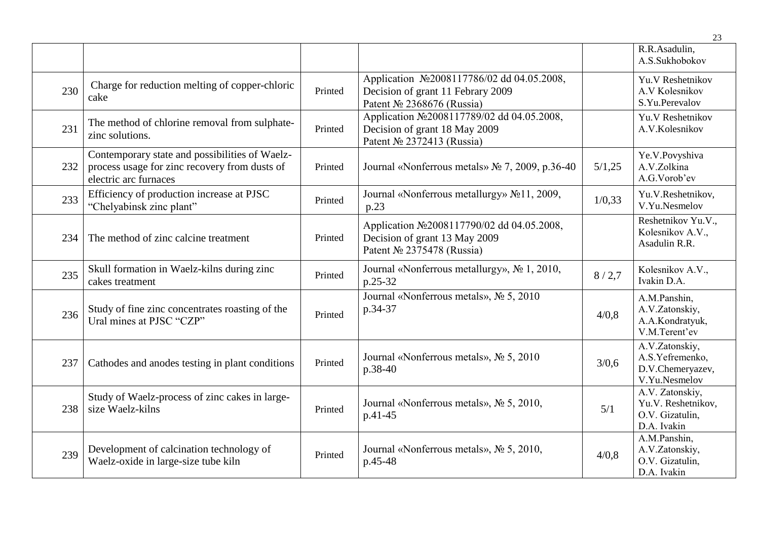|     |                                                                                                                          |         |                                                                                                               |        | R.R.Asadulin,<br>A.S.Sukhobokov                                         |
|-----|--------------------------------------------------------------------------------------------------------------------------|---------|---------------------------------------------------------------------------------------------------------------|--------|-------------------------------------------------------------------------|
| 230 | Charge for reduction melting of copper-chloric<br>cake                                                                   | Printed | Application No2008117786/02 dd 04.05.2008,<br>Decision of grant 11 Febrary 2009<br>Patent Nº 2368676 (Russia) |        | Yu.V Reshetnikov<br>A.V Kolesnikov<br>S.Yu.Perevalov                    |
| 231 | The method of chlorine removal from sulphate-<br>zinc solutions.                                                         | Printed | Application Nº2008117789/02 dd 04.05.2008,<br>Decision of grant 18 May 2009<br>Patent № 2372413 (Russia)      |        | Yu.V Reshetnikov<br>A.V.Kolesnikov                                      |
| 232 | Contemporary state and possibilities of Waelz-<br>process usage for zinc recovery from dusts of<br>electric arc furnaces | Printed | Journal «Nonferrous metals» № 7, 2009, p.36-40                                                                | 5/1,25 | Ye.V.Povyshiva<br>A.V.Zolkina<br>A.G.Vorob'ev                           |
| 233 | Efficiency of production increase at PJSC<br>"Chelyabinsk zinc plant"                                                    | Printed | Journal «Nonferrous metallurgy» No11, 2009,<br>p.23                                                           | 1/0,33 | Yu.V.Reshetnikov,<br>V.Yu.Nesmelov                                      |
| 234 | The method of zinc calcine treatment                                                                                     | Printed | Application No2008117790/02 dd 04.05.2008,<br>Decision of grant 13 May 2009<br>Patent № 2375478 (Russia)      |        | Reshetnikov Yu.V.,<br>Kolesnikov A.V.,<br>Asadulin R.R.                 |
| 235 | Skull formation in Waelz-kilns during zinc<br>cakes treatment                                                            | Printed | Journal «Nonferrous metallurgy», No 1, 2010,<br>p.25-32                                                       | 8/2,7  | Kolesnikov A.V.,<br>Ivakin D.A.                                         |
| 236 | Study of fine zinc concentrates roasting of the<br>Ural mines at PJSC "CZP"                                              | Printed | Journal «Nonferrous metals», No 5, 2010<br>p.34-37                                                            | 4/0,8  | A.M.Panshin,<br>A.V.Zatonskiy,<br>A.A.Kondratyuk,<br>V.M.Terent'ev      |
| 237 | Cathodes and anodes testing in plant conditions                                                                          | Printed | Journal «Nonferrous metals», № 5, 2010<br>p.38-40                                                             | 3/0,6  | A.V.Zatonskiy,<br>A.S.Yefremenko,<br>D.V.Chemeryazev,<br>V.Yu.Nesmelov  |
| 238 | Study of Waelz-process of zinc cakes in large-<br>size Waelz-kilns                                                       | Printed | Journal «Nonferrous metals», Nº 5, 2010,<br>p.41-45                                                           | 5/1    | A.V. Zatonskiy,<br>Yu.V. Reshetnikov,<br>O.V. Gizatulin,<br>D.A. Ivakin |
| 239 | Development of calcination technology of<br>Waelz-oxide in large-size tube kiln                                          | Printed | Journal «Nonferrous metals», № 5, 2010,<br>p.45-48                                                            | 4/0,8  | A.M.Panshin,<br>A.V.Zatonskiy,<br>O.V. Gizatulin,<br>D.A. Ivakin        |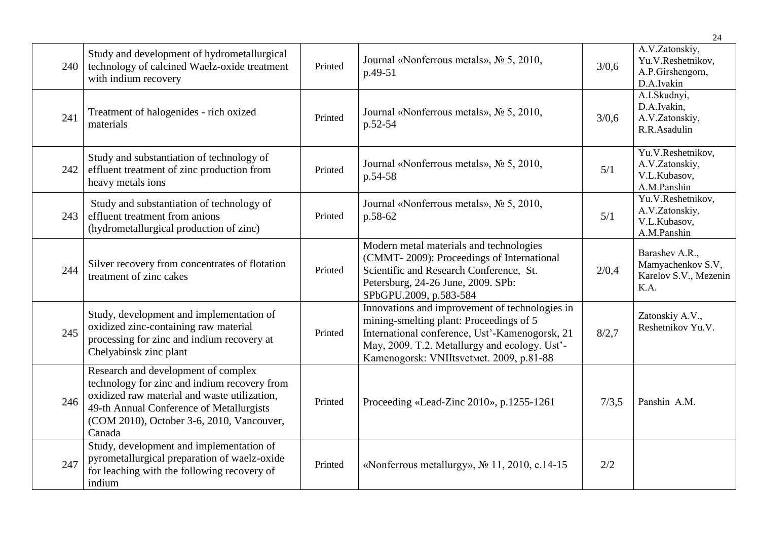|     |                                                                                                                                                                                                                                        |         |                                                                                                                                                                                                                                          |       | 24                                                                    |
|-----|----------------------------------------------------------------------------------------------------------------------------------------------------------------------------------------------------------------------------------------|---------|------------------------------------------------------------------------------------------------------------------------------------------------------------------------------------------------------------------------------------------|-------|-----------------------------------------------------------------------|
| 240 | Study and development of hydrometallurgical<br>technology of calcined Waelz-oxide treatment<br>with indium recovery                                                                                                                    | Printed | Journal «Nonferrous metals», № 5, 2010,<br>p.49-51                                                                                                                                                                                       | 3/0.6 | A.V.Zatonskiy,<br>Yu.V.Reshetnikov,<br>A.P.Girshengorn,<br>D.A.Ivakin |
| 241 | Treatment of halogenides - rich oxized<br>materials                                                                                                                                                                                    | Printed | Journal «Nonferrous metals», № 5, 2010,<br>p.52-54                                                                                                                                                                                       | 3/0,6 | A.I.Skudnyi,<br>D.A.Ivakin,<br>A.V.Zatonskiy,<br>R.R.Asadulin         |
| 242 | Study and substantiation of technology of<br>effluent treatment of zinc production from<br>heavy metals ions                                                                                                                           | Printed | Journal «Nonferrous metals», № 5, 2010,<br>p.54-58                                                                                                                                                                                       | 5/1   | Yu.V.Reshetnikov,<br>A.V.Zatonskiy,<br>V.L.Kubasov,<br>A.M.Panshin    |
| 243 | Study and substantiation of technology of<br>effluent treatment from anions<br>(hydrometallurgical production of zinc)                                                                                                                 | Printed | Journal «Nonferrous metals», № 5, 2010,<br>p.58-62                                                                                                                                                                                       | 5/1   | Yu.V.Reshetnikov,<br>A.V.Zatonskiy,<br>V.L.Kubasov,<br>A.M.Panshin    |
| 244 | Silver recovery from concentrates of flotation<br>treatment of zinc cakes                                                                                                                                                              | Printed | Modern metal materials and technologies<br>(CMMT-2009): Proceedings of International<br>Scientific and Research Conference, St.<br>Petersburg, 24-26 June, 2009. SPb:<br>SPbGPU.2009, p.583-584                                          | 2/0,4 | Barashev A.R.,<br>Mamyachenkov S.V,<br>Karelov S.V., Mezenin<br>K.A.  |
| 245 | Study, development and implementation of<br>oxidized zinc-containing raw material<br>processing for zinc and indium recovery at<br>Chelyabinsk zinc plant                                                                              | Printed | Innovations and improvement of technologies in<br>mining-smelting plant: Proceedings of 5<br>International conference, Ust'-Kamenogorsk, 21<br>May, 2009. T.2. Metallurgy and ecology. Ust'-<br>Kamenogorsk: VNIItsvetmet. 2009, p.81-88 | 8/2,7 | Zatonskiy A.V.,<br>Reshetnikov Yu.V.                                  |
| 246 | Research and development of complex<br>technology for zinc and indium recovery from<br>oxidized raw material and waste utilization,<br>49-th Annual Conference of Metallurgists<br>(COM 2010), October 3-6, 2010, Vancouver,<br>Canada | Printed | Proceeding «Lead-Zinc 2010», p.1255-1261                                                                                                                                                                                                 | 7/3,5 | Panshin A.M.                                                          |
| 247 | Study, development and implementation of<br>pyrometallurgical preparation of waelz-oxide<br>for leaching with the following recovery of<br>indium                                                                                      | Printed | «Nonferrous metallurgy», No 11, 2010, c.14-15                                                                                                                                                                                            | 2/2   |                                                                       |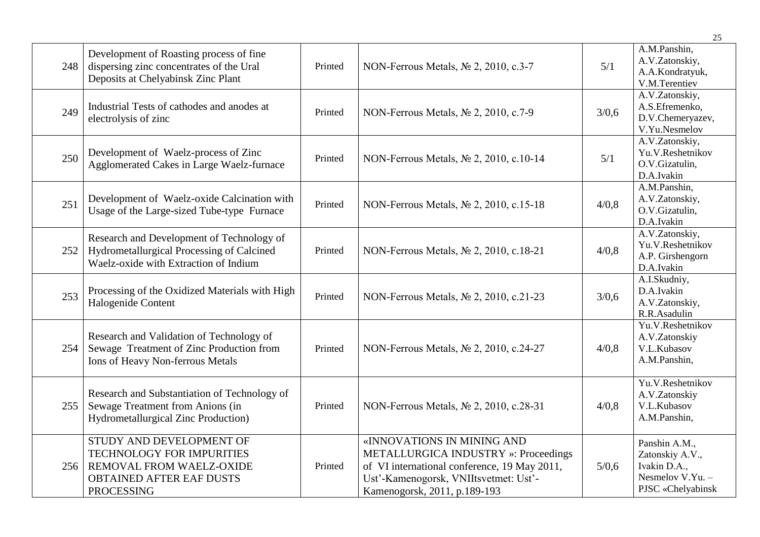|     |                                                                                                                                           |         |                                                                                                                                                                                                    |       | 25                                                                                        |
|-----|-------------------------------------------------------------------------------------------------------------------------------------------|---------|----------------------------------------------------------------------------------------------------------------------------------------------------------------------------------------------------|-------|-------------------------------------------------------------------------------------------|
| 248 | Development of Roasting process of fine<br>dispersing zinc concentrates of the Ural<br>Deposits at Chelyabinsk Zinc Plant                 | Printed | NON-Ferrous Metals, Nº 2, 2010, c.3-7                                                                                                                                                              | 5/1   | A.M.Panshin,<br>A.V.Zatonskiy,<br>A.A.Kondratyuk,<br>V.M.Terentiev                        |
| 249 | Industrial Tests of cathodes and anodes at<br>electrolysis of zinc                                                                        | Printed | NON-Ferrous Metals, № 2, 2010, c.7-9                                                                                                                                                               | 3/0,6 | A.V.Zatonskiy,<br>A.S.Efremenko,<br>D.V.Chemeryazev,<br>V.Yu.Nesmelov                     |
| 250 | Development of Waelz-process of Zinc<br>Agglomerated Cakes in Large Waelz-furnace                                                         | Printed | NON-Ferrous Metals, № 2, 2010, c.10-14                                                                                                                                                             | 5/1   | A.V.Zatonskiy,<br>Yu.V.Reshetnikov<br>O.V.Gizatulin,<br>D.A.Ivakin                        |
| 251 | Development of Waelz-oxide Calcination with<br>Usage of the Large-sized Tube-type Furnace                                                 | Printed | NON-Ferrous Metals, № 2, 2010, c.15-18                                                                                                                                                             | 4/0,8 | A.M.Panshin,<br>A.V.Zatonskiy,<br>O.V.Gizatulin,<br>D.A.Ivakin                            |
| 252 | Research and Development of Technology of<br>Hydrometallurgical Processing of Calcined<br>Waelz-oxide with Extraction of Indium           | Printed | NON-Ferrous Metals, № 2, 2010, c.18-21                                                                                                                                                             | 4/0,8 | A.V.Zatonskiy,<br>Yu.V.Reshetnikov<br>A.P. Girshengorn<br>D.A.Ivakin                      |
| 253 | Processing of the Oxidized Materials with High<br>Halogenide Content                                                                      | Printed | NON-Ferrous Metals, № 2, 2010, c.21-23                                                                                                                                                             | 3/0,6 | A.I.Skudniy,<br>D.A.Ivakin<br>A.V.Zatonskiy,<br>R.R.Asadulin                              |
| 254 | Research and Validation of Technology of<br>Sewage Treatment of Zinc Production from<br><b>Ions of Heavy Non-ferrous Metals</b>           | Printed | NON-Ferrous Metals, No 2, 2010, c.24-27                                                                                                                                                            | 4/0,8 | Yu.V.Reshetnikov<br>A.V.Zatonskiy<br>V.L.Kubasov<br>A.M.Panshin,                          |
| 255 | Research and Substantiation of Technology of<br>Sewage Treatment from Anions (in<br>Hydrometallurgical Zinc Production)                   | Printed | NON-Ferrous Metals, № 2, 2010, c.28-31                                                                                                                                                             | 4/0,8 | Yu.V.Reshetnikov<br>A.V.Zatonskiy<br>V.L.Kubasov<br>A.M.Panshin,                          |
| 256 | STUDY AND DEVELOPMENT OF<br>TECHNOLOGY FOR IMPURITIES<br>REMOVAL FROM WAELZ-OXIDE<br><b>OBTAINED AFTER EAF DUSTS</b><br><b>PROCESSING</b> | Printed | «INNOVATIONS IN MINING AND<br><b>METALLURGICA INDUSTRY</b> »: Proceedings<br>of VI international conference, 19 May 2011,<br>Ust'-Kamenogorsk, VNIItsvetmet: Ust'-<br>Kamenogorsk, 2011, p.189-193 | 5/0,6 | Panshin A.M.,<br>Zatonskiy A.V.,<br>Ivakin D.A.,<br>Nesmelov V.Yu. -<br>PJSC «Chelyabinsk |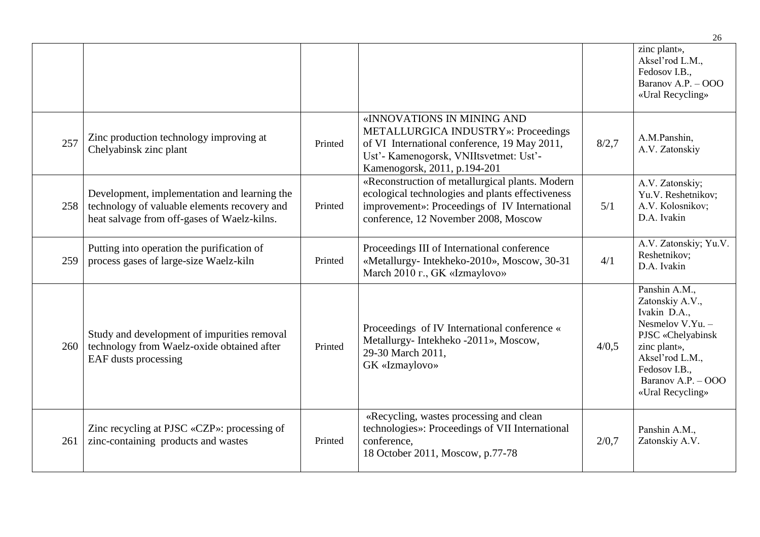|     |                                                                                                                                             |         |                                                                                                                                                                                                    |       | 26                                                                                                                                                                                        |
|-----|---------------------------------------------------------------------------------------------------------------------------------------------|---------|----------------------------------------------------------------------------------------------------------------------------------------------------------------------------------------------------|-------|-------------------------------------------------------------------------------------------------------------------------------------------------------------------------------------------|
|     |                                                                                                                                             |         |                                                                                                                                                                                                    |       | zinc plant»,<br>Aksel'rod L.M.,<br>Fedosov I.B.,<br>Baranov A.P. - OOO<br>«Ural Recycling»                                                                                                |
| 257 | Zinc production technology improving at<br>Chelyabinsk zinc plant                                                                           | Printed | «INNOVATIONS IN MINING AND<br><b>METALLURGICA INDUSTRY»: Proceedings</b><br>of VI International conference, 19 May 2011,<br>Ust'- Kamenogorsk, VNIItsvetmet: Ust'-<br>Kamenogorsk, 2011, p.194-201 | 8/2,7 | A.M.Panshin,<br>A.V. Zatonskiy                                                                                                                                                            |
| 258 | Development, implementation and learning the<br>technology of valuable elements recovery and<br>heat salvage from off-gases of Waelz-kilns. | Printed | «Reconstruction of metallurgical plants. Modern<br>ecological technologies and plants effectiveness<br>improvement»: Proceedings of IV International<br>conference, 12 November 2008, Moscow       | 5/1   | A.V. Zatonskiy;<br>Yu.V. Reshetnikov;<br>A.V. Kolosnikov;<br>D.A. Ivakin                                                                                                                  |
| 259 | Putting into operation the purification of<br>process gases of large-size Waelz-kiln                                                        | Printed | Proceedings III of International conference<br>«Metallurgy- Intekheko-2010», Moscow, 30-31<br>March 2010 г., GK «Izmaylovo»                                                                        | 4/1   | A.V. Zatonskiy; Yu.V.<br>Reshetnikov;<br>D.A. Ivakin                                                                                                                                      |
| 260 | Study and development of impurities removal<br>technology from Waelz-oxide obtained after<br><b>EAF</b> dusts processing                    | Printed | Proceedings of IV International conference «<br>Metallurgy- Intekheko -2011», Moscow,<br>29-30 March 2011,<br>GK «Izmaylovo»                                                                       | 4/0.5 | Panshin A.M.,<br>Zatonskiy A.V.,<br>Ivakin D.A.,<br>Nesmelov V.Yu. $-$<br>PJSC «Chelyabinsk<br>zinc plant»,<br>Aksel'rod L.M.,<br>Fedosov I.B.,<br>Baranov A.P. - OOO<br>«Ural Recycling» |
| 261 | Zinc recycling at PJSC «CZP»: processing of<br>zinc-containing products and wastes                                                          | Printed | «Recycling, wastes processing and clean<br>technologies»: Proceedings of VII International<br>conference,<br>18 October 2011, Moscow, p.77-78                                                      | 2/0,7 | Panshin A.M.,<br>Zatonskiy A.V.                                                                                                                                                           |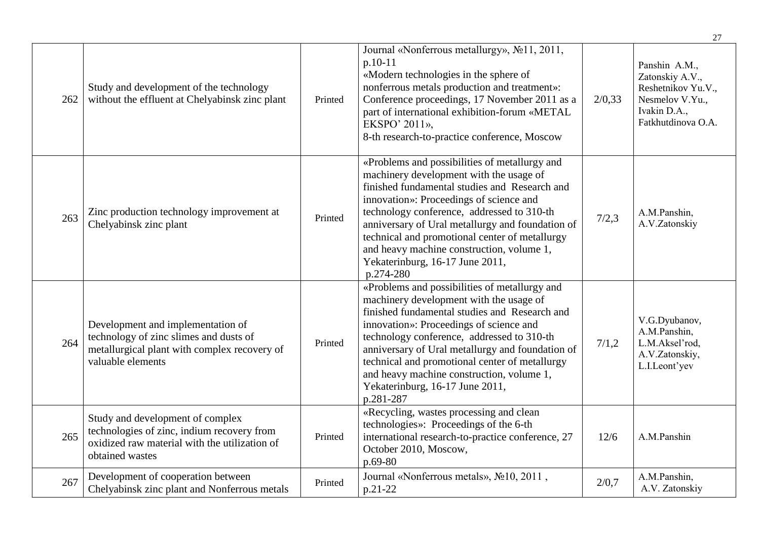|     |                                                                                                                                                    |         |                                                                                                                                                                                                                                                                                                                                                                                                                                       |        | 27                                                                                                              |
|-----|----------------------------------------------------------------------------------------------------------------------------------------------------|---------|---------------------------------------------------------------------------------------------------------------------------------------------------------------------------------------------------------------------------------------------------------------------------------------------------------------------------------------------------------------------------------------------------------------------------------------|--------|-----------------------------------------------------------------------------------------------------------------|
| 262 | Study and development of the technology<br>without the effluent at Chelyabinsk zinc plant                                                          | Printed | Journal «Nonferrous metallurgy», No11, 2011,<br>p.10-11<br>«Modern technologies in the sphere of<br>nonferrous metals production and treatment»:<br>Conference proceedings, 17 November 2011 as a<br>part of international exhibition-forum «METAL<br>EKSPO' 2011»,<br>8-th research-to-practice conference, Moscow                                                                                                                   | 2/0,33 | Panshin A.M.,<br>Zatonskiy A.V.,<br>Reshetnikov Yu.V.,<br>Nesmelov V.Yu.,<br>Ivakin D.A.,<br>Fatkhutdinova O.A. |
| 263 | Zinc production technology improvement at<br>Chelyabinsk zinc plant                                                                                | Printed | «Problems and possibilities of metallurgy and<br>machinery development with the usage of<br>finished fundamental studies and Research and<br>innovation»: Proceedings of science and<br>technology conference, addressed to 310-th<br>anniversary of Ural metallurgy and foundation of<br>technical and promotional center of metallurgy<br>and heavy machine construction, volume 1,<br>Yekaterinburg, 16-17 June 2011,<br>p.274-280 | 7/2,3  | A.M.Panshin,<br>A.V.Zatonskiy                                                                                   |
| 264 | Development and implementation of<br>technology of zinc slimes and dusts of<br>metallurgical plant with complex recovery of<br>valuable elements   | Printed | «Problems and possibilities of metallurgy and<br>machinery development with the usage of<br>finished fundamental studies and Research and<br>innovation»: Proceedings of science and<br>technology conference, addressed to 310-th<br>anniversary of Ural metallurgy and foundation of<br>technical and promotional center of metallurgy<br>and heavy machine construction, volume 1,<br>Yekaterinburg, 16-17 June 2011,<br>p.281-287 | 7/1,2  | V.G.Dyubanov,<br>A.M.Panshin,<br>L.M.Aksel'rod,<br>A.V.Zatonskiy,<br>L.I.Leont'yev                              |
| 265 | Study and development of complex<br>technologies of zinc, indium recovery from<br>oxidized raw material with the utilization of<br>obtained wastes | Printed | «Recycling, wastes processing and clean<br>technologies»: Proceedings of the 6-th<br>international research-to-practice conference, 27<br>October 2010, Moscow,<br>p.69-80                                                                                                                                                                                                                                                            | 12/6   | A.M.Panshin                                                                                                     |
| 267 | Development of cooperation between<br>Chelyabinsk zinc plant and Nonferrous metals                                                                 | Printed | Journal «Nonferrous metals», No10, 2011,<br>p.21-22                                                                                                                                                                                                                                                                                                                                                                                   | 2/0.7  | A.M.Panshin,<br>A.V. Zatonskiy                                                                                  |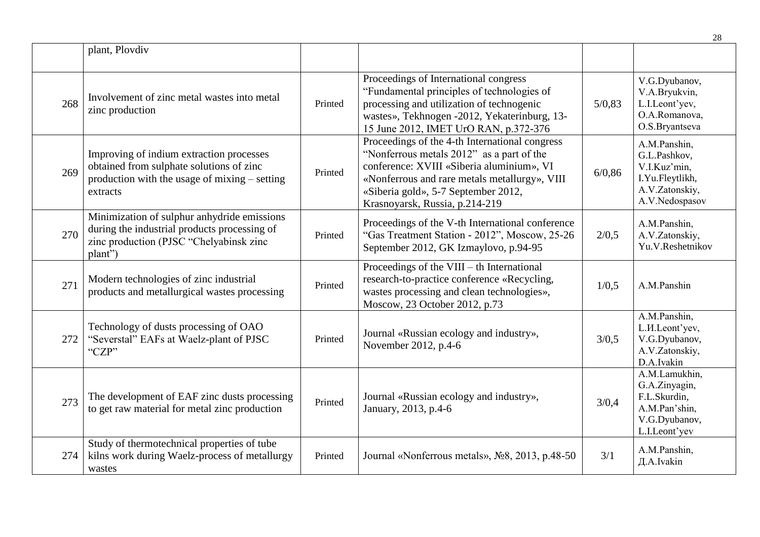|     |                                                                                                                                                     |         |                                                                                                                                                                                                                                                                    |        | 28                                                                                                  |
|-----|-----------------------------------------------------------------------------------------------------------------------------------------------------|---------|--------------------------------------------------------------------------------------------------------------------------------------------------------------------------------------------------------------------------------------------------------------------|--------|-----------------------------------------------------------------------------------------------------|
|     | plant, Plovdiv                                                                                                                                      |         |                                                                                                                                                                                                                                                                    |        |                                                                                                     |
| 268 | Involvement of zinc metal wastes into metal<br>zinc production                                                                                      | Printed | Proceedings of International congress<br>"Fundamental principles of technologies of<br>processing and utilization of technogenic<br>wastes», Tekhnogen -2012, Yekaterinburg, 13-<br>15 June 2012, IMET UrO RAN, p.372-376                                          | 5/0,83 | V.G.Dyubanov,<br>V.A.Bryukvin,<br>L.I.Leont'yev,<br>O.A.Romanova,<br>O.S.Bryantseva                 |
| 269 | Improving of indium extraction processes<br>obtained from sulphate solutions of zinc<br>production with the usage of mixing $-$ setting<br>extracts | Printed | Proceedings of the 4-th International congress<br>"Nonferrous metals 2012" as a part of the<br>conference: XVIII «Siberia aluminium», VI<br>«Nonferrous and rare metals metallurgy», VIII<br>«Siberia gold», 5-7 September 2012,<br>Krasnoyarsk, Russia, p.214-219 | 6/0,86 | A.M.Panshin,<br>G.L.Pashkov,<br>V.I.Kuz'min,<br>I.Yu.Fleytlikh,<br>A.V.Zatonskiy,<br>A.V.Nedospasov |
| 270 | Minimization of sulphur anhydride emissions<br>during the industrial products processing of<br>zinc production (PJSC "Chelyabinsk zinc<br>plant")   | Printed | Proceedings of the V-th International conference<br>"Gas Treatment Station - 2012", Moscow, 25-26<br>September 2012, GK Izmaylovo, p.94-95                                                                                                                         | 2/0,5  | A.M.Panshin,<br>A.V.Zatonskiy,<br>Yu.V.Reshetnikov                                                  |
| 271 | Modern technologies of zinc industrial<br>products and metallurgical wastes processing                                                              | Printed | Proceedings of the $VIII - th$ International<br>research-to-practice conference «Recycling,<br>wastes processing and clean technologies»,<br>Moscow, 23 October 2012, p.73                                                                                         | 1/0,5  | A.M.Panshin                                                                                         |
| 272 | Technology of dusts processing of OAO<br>"Severstal" EAFs at Waelz-plant of PJSC<br>"CZP"                                                           | Printed | Journal «Russian ecology and industry»,<br>November 2012, p.4-6                                                                                                                                                                                                    | 3/0,5  | A.M.Panshin,<br>L.H.Leont'yev,<br>V.G.Dyubanov,<br>A.V.Zatonskiy,<br>D.A.Ivakin                     |
| 273 | The development of EAF zinc dusts processing<br>to get raw material for metal zinc production                                                       | Printed | Journal «Russian ecology and industry»,<br>January, 2013, p.4-6                                                                                                                                                                                                    | 3/0,4  | A.M.Lamukhin,<br>G.A.Zinyagin,<br>F.L.Skurdin,<br>A.M.Pan'shin,<br>V.G.Dyubanov,<br>L.I.Leont'yev   |
| 274 | Study of thermotechnical properties of tube<br>kilns work during Waelz-process of metallurgy<br>wastes                                              | Printed | Journal «Nonferrous metals», №8, 2013, p.48-50                                                                                                                                                                                                                     | 3/1    | A.M.Panshin,<br>Д.A.Ivakin                                                                          |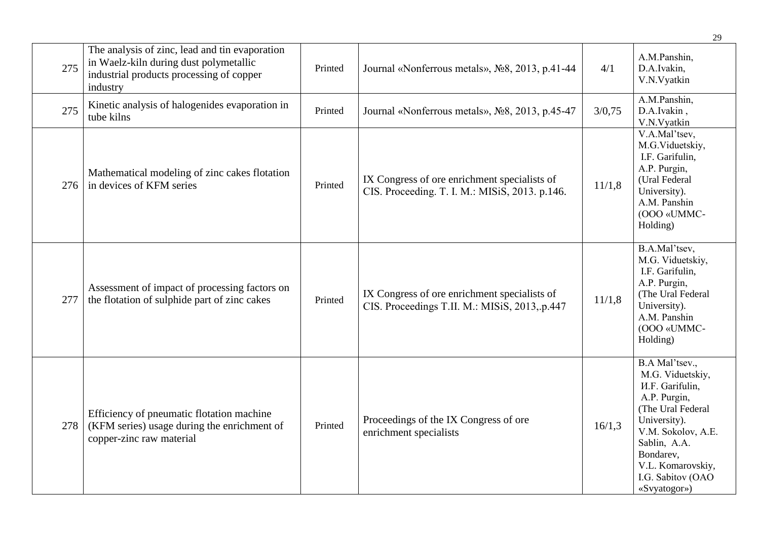|     |                                                                                                                                                  |         |                                                                                                |        | 29                                                                                                                                                                                                                             |
|-----|--------------------------------------------------------------------------------------------------------------------------------------------------|---------|------------------------------------------------------------------------------------------------|--------|--------------------------------------------------------------------------------------------------------------------------------------------------------------------------------------------------------------------------------|
| 275 | The analysis of zinc, lead and tin evaporation<br>in Waelz-kiln during dust polymetallic<br>industrial products processing of copper<br>industry | Printed | Journal «Nonferrous metals», No <sub>2</sub> 8, 2013, p.41-44                                  | 4/1    | A.M.Panshin,<br>D.A.Ivakin,<br>V.N.Vyatkin                                                                                                                                                                                     |
| 275 | Kinetic analysis of halogenides evaporation in<br>tube kilns                                                                                     | Printed | Journal «Nonferrous metals», No. 2013, p.45-47                                                 | 3/0,75 | A.M.Panshin,<br>D.A.Ivakin,<br>V.N.Vyatkin                                                                                                                                                                                     |
| 276 | Mathematical modeling of zinc cakes flotation<br>in devices of KFM series                                                                        | Printed | IX Congress of ore enrichment specialists of<br>CIS. Proceeding. T. I. M.: MISiS, 2013. p.146. | 11/1,8 | V.A.Mal'tsev,<br>M.G.Viduetskiy,<br>I.F. Garifulin,<br>A.P. Purgin,<br>(Ural Federal<br>University).<br>A.M. Panshin<br>(OOO «UMMC-<br>Holding)                                                                                |
| 277 | Assessment of impact of processing factors on<br>the flotation of sulphide part of zinc cakes                                                    | Printed | IX Congress of ore enrichment specialists of<br>CIS. Proceedings T.II. M.: MISiS, 2013, p.447  | 11/1,8 | B.A.Mal'tsev,<br>M.G. Viduetskiy,<br>I.F. Garifulin,<br>A.P. Purgin,<br>(The Ural Federal<br>University).<br>A.M. Panshin<br>(OOO «UMMC-<br>Holding)                                                                           |
| 278 | Efficiency of pneumatic flotation machine<br>(KFM series) usage during the enrichment of<br>copper-zinc raw material                             | Printed | Proceedings of the IX Congress of ore<br>enrichment specialists                                | 16/1,3 | B.A Mal'tsev.,<br>M.G. Viduetskiy,<br><b>H.F.</b> Garifulin,<br>A.P. Purgin,<br>(The Ural Federal<br>University).<br>V.M. Sokolov, A.E.<br>Sablin, A.A.<br>Bondarev,<br>V.L. Komarovskiy,<br>I.G. Sabitov (OAO<br>«Svyatogor») |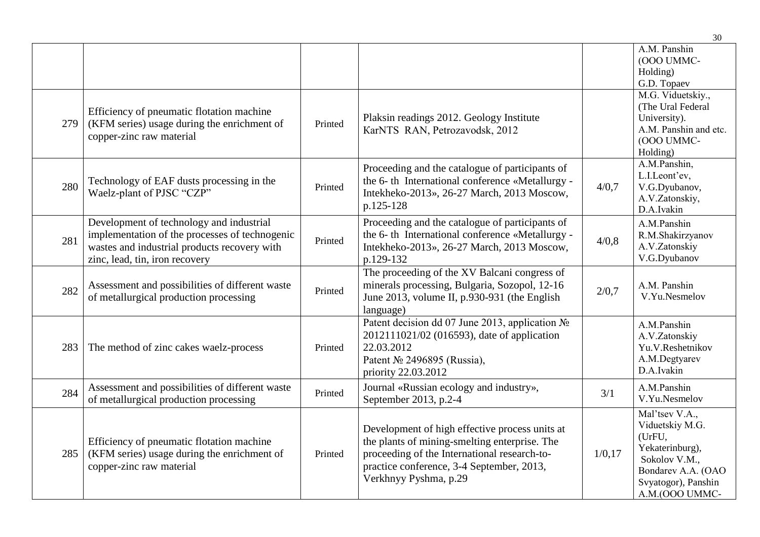|     |                                                                                                                                                                              |         |                                                                                                                                                                                                                       |         | 30                                                                                                                                             |
|-----|------------------------------------------------------------------------------------------------------------------------------------------------------------------------------|---------|-----------------------------------------------------------------------------------------------------------------------------------------------------------------------------------------------------------------------|---------|------------------------------------------------------------------------------------------------------------------------------------------------|
|     |                                                                                                                                                                              |         |                                                                                                                                                                                                                       |         | A.M. Panshin<br>(OOO UMMC-<br>Holding)<br>G.D. Topaev                                                                                          |
| 279 | Efficiency of pneumatic flotation machine<br>(KFM series) usage during the enrichment of<br>copper-zinc raw material                                                         | Printed | Plaksin readings 2012. Geology Institute<br>KarNTS RAN, Petrozavodsk, 2012                                                                                                                                            |         | M.G. Viduetskiy.,<br>(The Ural Federal<br>University).<br>A.M. Panshin and etc.<br>(OOO UMMC-<br>Holding)                                      |
| 280 | Technology of EAF dusts processing in the<br>Waelz-plant of PJSC "CZP"                                                                                                       | Printed | Proceeding and the catalogue of participants of<br>the 6-th International conference «Metallurgy -<br>Intekheko-2013», 26-27 March, 2013 Moscow,<br>p.125-128                                                         | 4/0,7   | A.M.Panshin,<br>L.I.Leont'ev,<br>V.G.Dyubanov,<br>A.V.Zatonskiy,<br>D.A.Ivakin                                                                 |
| 281 | Development of technology and industrial<br>implementation of the processes of technogenic<br>wastes and industrial products recovery with<br>zinc, lead, tin, iron recovery | Printed | Proceeding and the catalogue of participants of<br>the 6-th International conference «Metallurgy -<br>Intekheko-2013», 26-27 March, 2013 Moscow,<br>p.129-132                                                         | 4/0,8   | A.M.Panshin<br>R.M.Shakirzyanov<br>A.V.Zatonskiy<br>V.G.Dyubanov                                                                               |
| 282 | Assessment and possibilities of different waste<br>of metallurgical production processing                                                                                    | Printed | The proceeding of the XV Balcani congress of<br>minerals processing, Bulgaria, Sozopol, 12-16<br>June 2013, volume II, p.930-931 (the English<br>language)                                                            | 2/0,7   | A.M. Panshin<br>V.Yu.Nesmelov                                                                                                                  |
| 283 | The method of zinc cakes waelz-process                                                                                                                                       | Printed | Patent decision dd 07 June 2013, application No<br>2012111021/02 (016593), date of application<br>22.03.2012<br>Patent Nº 2496895 (Russia),<br>priority 22.03.2012                                                    |         | A.M.Panshin<br>A.V.Zatonskiy<br>Yu.V.Reshetnikov<br>A.M.Degtyarev<br>D.A.Ivakin                                                                |
| 284 | Assessment and possibilities of different waste<br>of metallurgical production processing                                                                                    | Printed | Journal «Russian ecology and industry»,<br>September 2013, p.2-4                                                                                                                                                      | 3/1     | A.M.Panshin<br>V.Yu.Nesmelov                                                                                                                   |
| 285 | Efficiency of pneumatic flotation machine<br>(KFM series) usage during the enrichment of<br>copper-zinc raw material                                                         | Printed | Development of high effective process units at<br>the plants of mining-smelting enterprise. The<br>proceeding of the International research-to-<br>practice conference, 3-4 September, 2013,<br>Verkhnyy Pyshma, p.29 | 1/0, 17 | Mal'tsev V.A.,<br>Viduetskiy M.G.<br>(UrFU,<br>Yekaterinburg),<br>Sokolov V.M.,<br>Bondarev A.A. (OAO<br>Svyatogor), Panshin<br>A.M.(OOO UMMC- |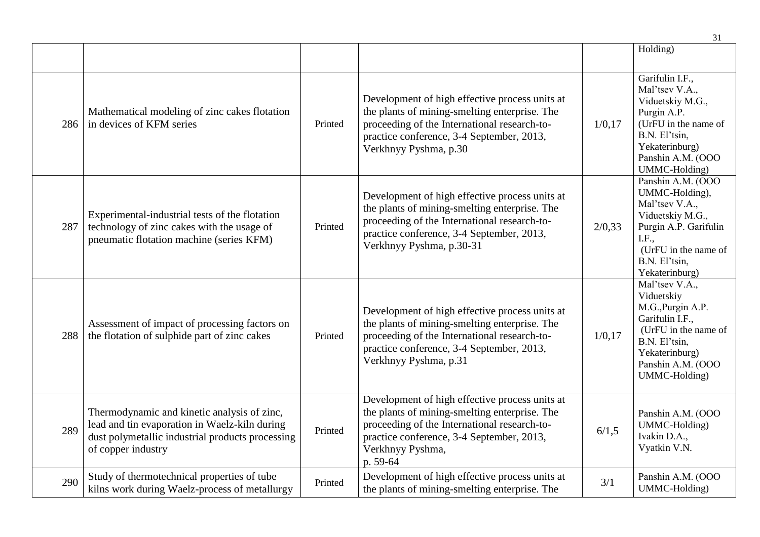|     |                                                                                                                                                                        |         |                                                                                                                                                                                                                              |         | 31                                                                                                                                                                     |
|-----|------------------------------------------------------------------------------------------------------------------------------------------------------------------------|---------|------------------------------------------------------------------------------------------------------------------------------------------------------------------------------------------------------------------------------|---------|------------------------------------------------------------------------------------------------------------------------------------------------------------------------|
|     |                                                                                                                                                                        |         |                                                                                                                                                                                                                              |         | Holding)                                                                                                                                                               |
| 286 | Mathematical modeling of zinc cakes flotation<br>in devices of KFM series                                                                                              | Printed | Development of high effective process units at<br>the plants of mining-smelting enterprise. The<br>proceeding of the International research-to-<br>practice conference, 3-4 September, 2013,<br>Verkhnyy Pyshma, p.30        | 1/0, 17 | Garifulin I.F.,<br>Mal'tsev V.A.,<br>Viduetskiy M.G.,<br>Purgin A.P.<br>(UrFU in the name of<br>B.N. El'tsin,<br>Yekaterinburg)<br>Panshin A.M. (OOO<br>UMMC-Holding)  |
| 287 | Experimental-industrial tests of the flotation<br>technology of zinc cakes with the usage of<br>pneumatic flotation machine (series KFM)                               | Printed | Development of high effective process units at<br>the plants of mining-smelting enterprise. The<br>proceeding of the International research-to-<br>practice conference, 3-4 September, 2013,<br>Verkhnyy Pyshma, p.30-31     | 2/0,33  | Panshin A.M. (OOO<br>UMMC-Holding),<br>Mal'tsev V.A.,<br>Viduetskiy M.G.,<br>Purgin A.P. Garifulin<br>I.F.,<br>(UrFU in the name of<br>B.N. El'tsin,<br>Yekaterinburg) |
| 288 | Assessment of impact of processing factors on<br>the flotation of sulphide part of zinc cakes                                                                          | Printed | Development of high effective process units at<br>the plants of mining-smelting enterprise. The<br>proceeding of the International research-to-<br>practice conference, 3-4 September, 2013,<br>Verkhnyy Pyshma, p.31        | 1/0, 17 | Mal'tsev V.A.,<br>Viduetskiy<br>M.G., Purgin A.P.<br>Garifulin I.F.,<br>(UrFU in the name of<br>B.N. El'tsin,<br>Yekaterinburg)<br>Panshin A.M. (OOO<br>UMMC-Holding)  |
| 289 | Thermodynamic and kinetic analysis of zinc,<br>lead and tin evaporation in Waelz-kiln during<br>dust polymetallic industrial products processing<br>of copper industry | Printed | Development of high effective process units at<br>the plants of mining-smelting enterprise. The<br>proceeding of the International research-to-<br>practice conference, 3-4 September, 2013,<br>Verkhnyy Pyshma,<br>p. 59-64 | 6/1,5   | Panshin A.M. (OOO<br>UMMC-Holding)<br>Ivakin D.A.,<br>Vyatkin V.N.                                                                                                     |
| 290 | Study of thermotechnical properties of tube<br>kilns work during Waelz-process of metallurgy                                                                           | Printed | Development of high effective process units at<br>the plants of mining-smelting enterprise. The                                                                                                                              | 3/1     | Panshin A.M. (OOO<br>UMMC-Holding)                                                                                                                                     |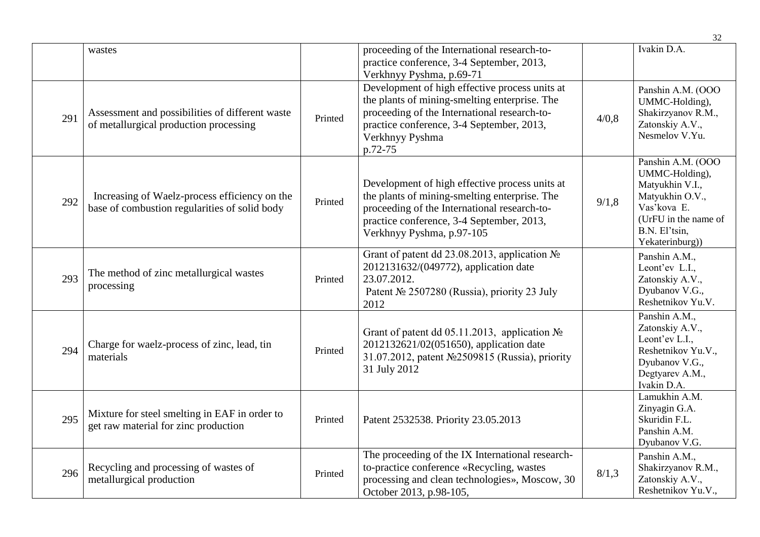|     |                                                                                                |         |                                                                                                                                                                                                                            |       | 32                                                                                                                                                   |
|-----|------------------------------------------------------------------------------------------------|---------|----------------------------------------------------------------------------------------------------------------------------------------------------------------------------------------------------------------------------|-------|------------------------------------------------------------------------------------------------------------------------------------------------------|
|     | wastes                                                                                         |         | proceeding of the International research-to-<br>practice conference, 3-4 September, 2013,<br>Verkhnyy Pyshma, p.69-71                                                                                                      |       | Ivakin D.A.                                                                                                                                          |
| 291 | Assessment and possibilities of different waste<br>of metallurgical production processing      | Printed | Development of high effective process units at<br>the plants of mining-smelting enterprise. The<br>proceeding of the International research-to-<br>practice conference, 3-4 September, 2013,<br>Verkhnyy Pyshma<br>p.72-75 | 4/0,8 | Panshin A.M. (OOO<br>UMMC-Holding),<br>Shakirzyanov R.M.,<br>Zatonskiy A.V.,<br>Nesmelov V.Yu.                                                       |
| 292 | Increasing of Waelz-process efficiency on the<br>base of combustion regularities of solid body | Printed | Development of high effective process units at<br>the plants of mining-smelting enterprise. The<br>proceeding of the International research-to-<br>practice conference, 3-4 September, 2013,<br>Verkhnyy Pyshma, p.97-105  | 9/1,8 | Panshin A.M. (OOO<br>UMMC-Holding),<br>Matyukhin V.I.,<br>Matyukhin O.V.,<br>Vas'kova E.<br>(UrFU in the name of<br>B.N. El'tsin,<br>Yekaterinburg)) |
| 293 | The method of zinc metallurgical wastes<br>processing                                          | Printed | Grant of patent dd 23.08.2013, application $N_2$<br>2012131632/(049772), application date<br>23.07.2012.<br>Patent № 2507280 (Russia), priority 23 July<br>2012                                                            |       | Panshin A.M.,<br>Leont'ev L.I.,<br>Zatonskiy A.V.,<br>Dyubanov V.G.,<br>Reshetnikov Yu.V.                                                            |
| 294 | Charge for waelz-process of zinc, lead, tin<br>materials                                       | Printed | Grant of patent dd 05.11.2013, application No<br>2012132621/02(051650), application date<br>31.07.2012, patent №2509815 (Russia), priority<br>31 July 2012                                                                 |       | Panshin A.M.,<br>Zatonskiy A.V.,<br>Leont'ev L.I.,<br>Reshetnikov Yu.V.,<br>Dyubanov V.G.,<br>Degtyarev A.M.,<br>Ivakin D.A.                         |
| 295 | Mixture for steel smelting in EAF in order to<br>get raw material for zinc production          | Printed | Patent 2532538. Priority 23.05.2013                                                                                                                                                                                        |       | Lamukhin A.M.<br>Zinyagin G.A.<br>Skuridin F.L.<br>Panshin A.M.<br>Dyubanov V.G.                                                                     |
| 296 | Recycling and processing of wastes of<br>metallurgical production                              | Printed | The proceeding of the IX International research-<br>to-practice conference «Recycling, wastes<br>processing and clean technologies», Moscow, 30<br>October 2013, p.98-105,                                                 | 8/1,3 | Panshin A.M.,<br>Shakirzyanov R.M.,<br>Zatonskiy A.V.,<br>Reshetnikov Yu.V.,                                                                         |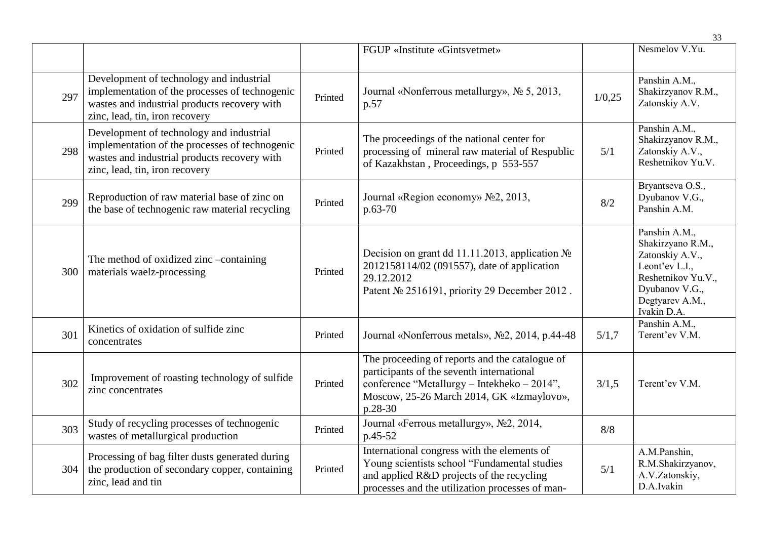|     |                                                                                                                                                                              |         |                                                                                                                                                                                                    |        | 33                                                                                                                                                |
|-----|------------------------------------------------------------------------------------------------------------------------------------------------------------------------------|---------|----------------------------------------------------------------------------------------------------------------------------------------------------------------------------------------------------|--------|---------------------------------------------------------------------------------------------------------------------------------------------------|
|     |                                                                                                                                                                              |         | FGUP «Institute «Gintsvetmet»                                                                                                                                                                      |        | Nesmelov V.Yu.                                                                                                                                    |
| 297 | Development of technology and industrial<br>implementation of the processes of technogenic<br>wastes and industrial products recovery with<br>zinc, lead, tin, iron recovery | Printed | Journal «Nonferrous metallurgy», № 5, 2013,<br>p.57                                                                                                                                                | 1/0,25 | Panshin A.M.,<br>Shakirzyanov R.M.,<br>Zatonskiy A.V.                                                                                             |
| 298 | Development of technology and industrial<br>implementation of the processes of technogenic<br>wastes and industrial products recovery with<br>zinc, lead, tin, iron recovery | Printed | The proceedings of the national center for<br>processing of mineral raw material of Respublic<br>of Kazakhstan, Proceedings, p 553-557                                                             | 5/1    | Panshin A.M.,<br>Shakirzyanov R.M.,<br>Zatonskiy A.V.,<br>Reshetnikov Yu.V.                                                                       |
| 299 | Reproduction of raw material base of zinc on<br>the base of technogenic raw material recycling                                                                               | Printed | Journal «Region economy» No2, 2013,<br>$p.63-70$                                                                                                                                                   | 8/2    | Bryantseva O.S.,<br>Dyubanov V.G.,<br>Panshin A.M.                                                                                                |
| 300 | The method of oxidized zinc -containing<br>materials waelz-processing                                                                                                        | Printed | Decision on grant dd 11.11.2013, application №<br>2012158114/02 (091557), date of application<br>29.12.2012<br>Patent No 2516191, priority 29 December 2012.                                       |        | Panshin A.M.,<br>Shakirzyano R.M.,<br>Zatonskiy A.V.,<br>Leont'ev L.I.,<br>Reshetnikov Yu.V.,<br>Dyubanov V.G.,<br>Degtyarev A.M.,<br>Ivakin D.A. |
| 301 | Kinetics of oxidation of sulfide zinc<br>concentrates                                                                                                                        | Printed | Journal «Nonferrous metals», No2, 2014, p.44-48                                                                                                                                                    | 5/1,7  | Panshin A.M.,<br>Terent'ev V.M.                                                                                                                   |
| 302 | Improvement of roasting technology of sulfide<br>zinc concentrates                                                                                                           | Printed | The proceeding of reports and the catalogue of<br>participants of the seventh international<br>conference "Metallurgy - Intekheko - 2014",<br>Moscow, 25-26 March 2014, GK «Izmaylovo»,<br>p.28-30 | 3/1,5  | Terent'ev V.M.                                                                                                                                    |
| 303 | Study of recycling processes of technogenic<br>wastes of metallurgical production                                                                                            | Printed | Journal «Ferrous metallurgy», No2, 2014,<br>p.45-52                                                                                                                                                | 8/8    |                                                                                                                                                   |
| 304 | Processing of bag filter dusts generated during<br>the production of secondary copper, containing<br>zinc, lead and tin                                                      | Printed | International congress with the elements of<br>Young scientists school "Fundamental studies<br>and applied R&D projects of the recycling<br>processes and the utilization processes of man-        | 5/1    | A.M.Panshin,<br>R.M.Shakirzyanov,<br>A.V.Zatonskiy,<br>D.A.Ivakin                                                                                 |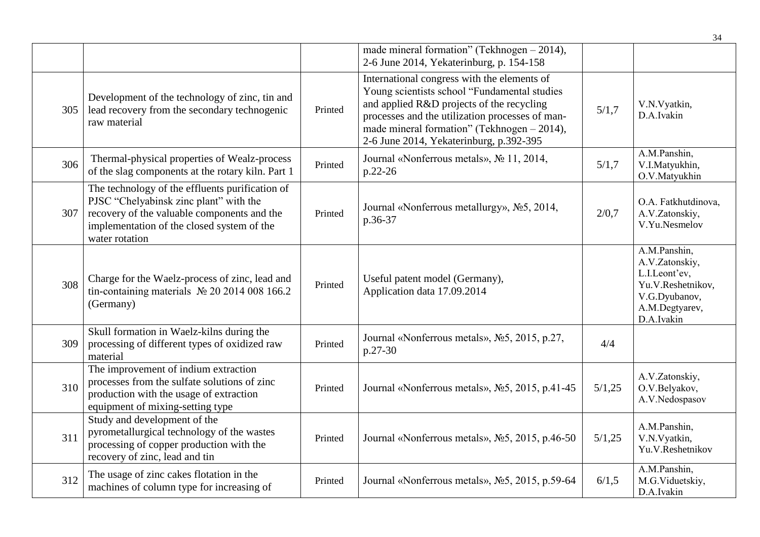|     |                                                                                                                                                                                                          |         |                                                                                                                                                                                                                                                                                         |        | 34                                                                                                                    |
|-----|----------------------------------------------------------------------------------------------------------------------------------------------------------------------------------------------------------|---------|-----------------------------------------------------------------------------------------------------------------------------------------------------------------------------------------------------------------------------------------------------------------------------------------|--------|-----------------------------------------------------------------------------------------------------------------------|
|     |                                                                                                                                                                                                          |         | made mineral formation" (Tekhnogen - 2014),<br>2-6 June 2014, Yekaterinburg, p. 154-158                                                                                                                                                                                                 |        |                                                                                                                       |
| 305 | Development of the technology of zinc, tin and<br>lead recovery from the secondary technogenic<br>raw material                                                                                           | Printed | International congress with the elements of<br>Young scientists school "Fundamental studies<br>and applied R&D projects of the recycling<br>processes and the utilization processes of man-<br>made mineral formation" (Tekhnogen $-2014$ ),<br>2-6 June 2014, Yekaterinburg, p.392-395 | 5/1,7  | V.N.Vyatkin,<br>D.A.Ivakin                                                                                            |
| 306 | Thermal-physical properties of Wealz-process<br>of the slag components at the rotary kiln. Part 1                                                                                                        | Printed | Journal «Nonferrous metals», № 11, 2014,<br>p.22-26                                                                                                                                                                                                                                     | 5/1,7  | A.M.Panshin,<br>V.I.Matyukhin,<br>O.V.Matyukhin                                                                       |
| 307 | The technology of the effluents purification of<br>PJSC "Chelyabinsk zinc plant" with the<br>recovery of the valuable components and the<br>implementation of the closed system of the<br>water rotation | Printed | Journal «Nonferrous metallurgy», No5, 2014,<br>p.36-37                                                                                                                                                                                                                                  | 2/0,7  | O.A. Fatkhutdinova,<br>A.V.Zatonskiy,<br>V.Yu.Nesmelov                                                                |
| 308 | Charge for the Waelz-process of zinc, lead and<br>tin-containing materials $N2$ 20 2014 008 166.2<br>(Germany)                                                                                           | Printed | Useful patent model (Germany),<br>Application data 17.09.2014                                                                                                                                                                                                                           |        | A.M.Panshin,<br>A.V.Zatonskiy,<br>L.I.Leont'ev,<br>Yu.V.Reshetnikov,<br>V.G.Dyubanov,<br>A.M.Degtyarev,<br>D.A.Ivakin |
| 309 | Skull formation in Waelz-kilns during the<br>processing of different types of oxidized raw<br>material                                                                                                   | Printed | Journal «Nonferrous metals», No 5, 2015, p.27,<br>p.27-30                                                                                                                                                                                                                               | 4/4    |                                                                                                                       |
| 310 | The improvement of indium extraction<br>processes from the sulfate solutions of zinc<br>production with the usage of extraction<br>equipment of mixing-setting type                                      | Printed | Journal «Nonferrous metals», No 5, 2015, p.41-45                                                                                                                                                                                                                                        | 5/1,25 | A.V.Zatonskiy,<br>O.V.Belyakov,<br>A.V.Nedospasov                                                                     |
| 311 | Study and development of the<br>pyrometallurgical technology of the wastes<br>processing of copper production with the<br>recovery of zinc, lead and tin                                                 | Printed | Journal «Nonferrous metals», No 5, 2015, p.46-50                                                                                                                                                                                                                                        | 5/1,25 | A.M.Panshin,<br>V.N.Vyatkin,<br>Yu.V.Reshetnikov                                                                      |
| 312 | The usage of zinc cakes flotation in the<br>machines of column type for increasing of                                                                                                                    | Printed | Journal «Nonferrous metals», No 5, 2015, p.59-64                                                                                                                                                                                                                                        | 6/1,5  | A.M.Panshin,<br>M.G.Viduetskiy,<br>D.A.Ivakin                                                                         |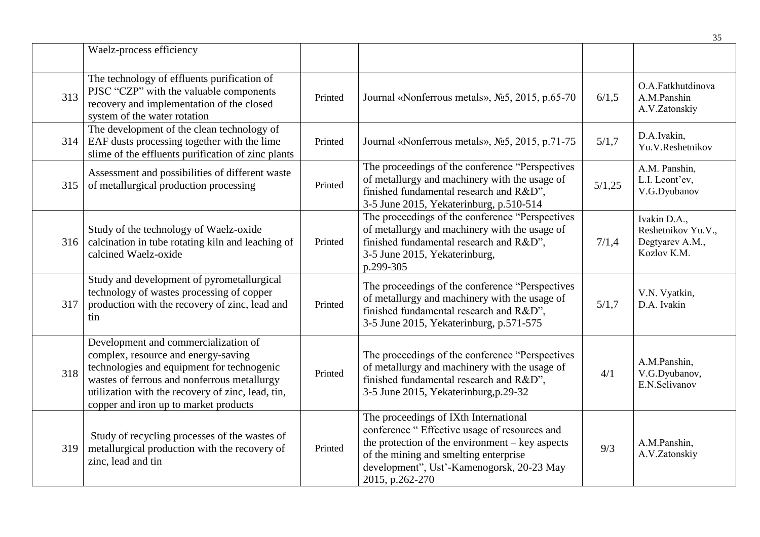|     |                                                                                                                                                                                                                                                                        |         |                                                                                                                                                                                                                                                      |        | 35                                                                   |
|-----|------------------------------------------------------------------------------------------------------------------------------------------------------------------------------------------------------------------------------------------------------------------------|---------|------------------------------------------------------------------------------------------------------------------------------------------------------------------------------------------------------------------------------------------------------|--------|----------------------------------------------------------------------|
|     | Waelz-process efficiency                                                                                                                                                                                                                                               |         |                                                                                                                                                                                                                                                      |        |                                                                      |
| 313 | The technology of effluents purification of<br>PJSC "CZP" with the valuable components<br>recovery and implementation of the closed<br>system of the water rotation                                                                                                    | Printed | Journal «Nonferrous metals», No 5, 2015, p.65-70                                                                                                                                                                                                     | 6/1,5  | O.A.Fatkhutdinova<br>A.M.Panshin<br>A.V.Zatonskiy                    |
| 314 | The development of the clean technology of<br>EAF dusts processing together with the lime<br>slime of the effluents purification of zinc plants                                                                                                                        | Printed | Journal «Nonferrous metals», No 5, 2015, p.71-75                                                                                                                                                                                                     | 5/1,7  | D.A.Ivakin,<br>Yu.V.Reshetnikov                                      |
| 315 | Assessment and possibilities of different waste<br>of metallurgical production processing                                                                                                                                                                              | Printed | The proceedings of the conference "Perspectives"<br>of metallurgy and machinery with the usage of<br>finished fundamental research and R&D",<br>3-5 June 2015, Yekaterinburg, p.510-514                                                              | 5/1,25 | A.M. Panshin,<br>L.I. Leont'ev,<br>V.G.Dyubanov                      |
| 316 | Study of the technology of Waelz-oxide<br>calcination in tube rotating kiln and leaching of<br>calcined Waelz-oxide                                                                                                                                                    | Printed | The proceedings of the conference "Perspectives"<br>of metallurgy and machinery with the usage of<br>finished fundamental research and R&D",<br>3-5 June 2015, Yekaterinburg,<br>p.299-305                                                           | 7/1,4  | Ivakin D.A.,<br>Reshetnikov Yu.V.,<br>Degtyarev A.M.,<br>Kozlov K.M. |
| 317 | Study and development of pyrometallurgical<br>technology of wastes processing of copper<br>production with the recovery of zinc, lead and<br>tin                                                                                                                       | Printed | The proceedings of the conference "Perspectives"<br>of metallurgy and machinery with the usage of<br>finished fundamental research and R&D",<br>3-5 June 2015, Yekaterinburg, p.571-575                                                              | 5/1,7  | V.N. Vyatkin,<br>D.A. Ivakin                                         |
| 318 | Development and commercialization of<br>complex, resource and energy-saving<br>technologies and equipment for technogenic<br>wastes of ferrous and nonferrous metallurgy<br>utilization with the recovery of zinc, lead, tin,<br>copper and iron up to market products | Printed | The proceedings of the conference "Perspectives"<br>of metallurgy and machinery with the usage of<br>finished fundamental research and R&D",<br>3-5 June 2015, Yekaterinburg, p.29-32                                                                | 4/1    | A.M.Panshin,<br>V.G.Dyubanov,<br>E.N.Selivanov                       |
| 319 | Study of recycling processes of the wastes of<br>metallurgical production with the recovery of<br>zinc, lead and tin                                                                                                                                                   | Printed | The proceedings of IXth International<br>conference " Effective usage of resources and<br>the protection of the environment $-$ key aspects<br>of the mining and smelting enterprise<br>development", Ust'-Kamenogorsk, 20-23 May<br>2015, p.262-270 | 9/3    | A.M.Panshin,<br>A.V.Zatonskiy                                        |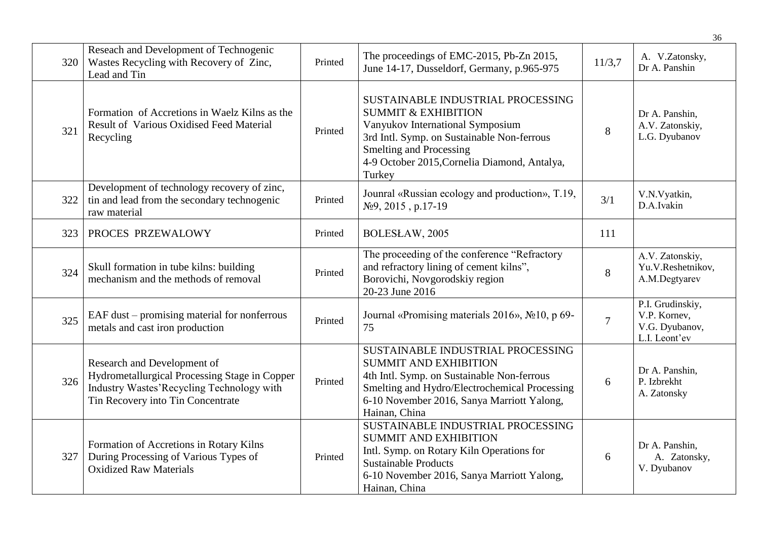|     |                                                                                                                                                                |         |                                                                                                                                                                                                                                                   |                | 36                                                                  |
|-----|----------------------------------------------------------------------------------------------------------------------------------------------------------------|---------|---------------------------------------------------------------------------------------------------------------------------------------------------------------------------------------------------------------------------------------------------|----------------|---------------------------------------------------------------------|
| 320 | Reseach and Development of Technogenic<br>Wastes Recycling with Recovery of Zinc,<br>Lead and Tin                                                              | Printed | The proceedings of EMC-2015, Pb-Zn 2015,<br>June 14-17, Dusseldorf, Germany, p.965-975                                                                                                                                                            | 11/3,7         | A. V.Zatonsky,<br>Dr A. Panshin                                     |
| 321 | Formation of Accretions in Waelz Kilns as the<br>Result of Various Oxidised Feed Material<br>Recycling                                                         | Printed | SUSTAINABLE INDUSTRIAL PROCESSING<br><b>SUMMIT &amp; EXHIBITION</b><br>Vanyukov International Symposium<br>3rd Intl. Symp. on Sustainable Non-ferrous<br><b>Smelting and Processing</b><br>4-9 October 2015, Cornelia Diamond, Antalya,<br>Turkey | 8              | Dr A. Panshin,<br>A.V. Zatonskiy,<br>L.G. Dyubanov                  |
| 322 | Development of technology recovery of zinc,<br>tin and lead from the secondary technogenic<br>raw material                                                     | Printed | Jounral «Russian ecology and production», T.19,<br>$N29, 2015, p.17-19$                                                                                                                                                                           | 3/1            | V.N.Vyatkin,<br>D.A.Ivakin                                          |
| 323 | PROCES PRZEWALOWY                                                                                                                                              | Printed | BOLESŁAW, 2005                                                                                                                                                                                                                                    | 111            |                                                                     |
| 324 | Skull formation in tube kilns: building<br>mechanism and the methods of removal                                                                                | Printed | The proceeding of the conference "Refractory<br>and refractory lining of cement kilns",<br>Borovichi, Novgorodskiy region<br>20-23 June 2016                                                                                                      | 8              | A.V. Zatonskiy,<br>Yu.V.Reshetnikov,<br>A.M.Degtyarev               |
| 325 | EAF dust – promising material for nonferrous<br>metals and cast iron production                                                                                | Printed | Journal «Promising materials 2016», No 10, p 69-<br>75                                                                                                                                                                                            | $\overline{7}$ | P.I. Grudinskiy,<br>V.P. Kornev,<br>V.G. Dyubanov,<br>L.I. Leont'ev |
| 326 | Research and Development of<br>Hydrometallurgical Processing Stage in Copper<br>Industry Wastes'Recycling Technology with<br>Tin Recovery into Tin Concentrate | Printed | SUSTAINABLE INDUSTRIAL PROCESSING<br><b>SUMMIT AND EXHIBITION</b><br>4th Intl. Symp. on Sustainable Non-ferrous<br>Smelting and Hydro/Electrochemical Processing<br>6-10 November 2016, Sanya Marriott Yalong,<br>Hainan, China                   | 6              | Dr A. Panshin,<br>P. Izbrekht<br>A. Zatonsky                        |
| 327 | Formation of Accretions in Rotary Kilns<br>During Processing of Various Types of<br><b>Oxidized Raw Materials</b>                                              | Printed | SUSTAINABLE INDUSTRIAL PROCESSING<br>SUMMIT AND EXHIBITION<br>Intl. Symp. on Rotary Kiln Operations for<br><b>Sustainable Products</b><br>6-10 November 2016, Sanya Marriott Yalong,<br>Hainan, China                                             | 6              | Dr A. Panshin,<br>A. Zatonsky,<br>V. Dyubanov                       |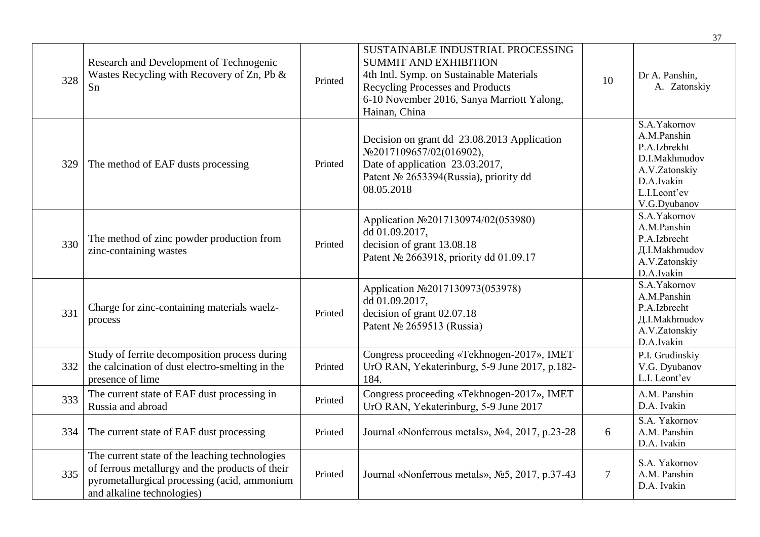|     |                                                                                                                                                                                 |         |                                                                                                                                                                                                                  |                | 37                                                                                                                          |
|-----|---------------------------------------------------------------------------------------------------------------------------------------------------------------------------------|---------|------------------------------------------------------------------------------------------------------------------------------------------------------------------------------------------------------------------|----------------|-----------------------------------------------------------------------------------------------------------------------------|
| 328 | Research and Development of Technogenic<br>Wastes Recycling with Recovery of Zn, Pb &<br>Sn                                                                                     | Printed | SUSTAINABLE INDUSTRIAL PROCESSING<br><b>SUMMIT AND EXHIBITION</b><br>4th Intl. Symp. on Sustainable Materials<br>Recycling Processes and Products<br>6-10 November 2016, Sanya Marriott Yalong,<br>Hainan, China | 10             | Dr A. Panshin,<br>A. Zatonskiy                                                                                              |
| 329 | The method of EAF dusts processing                                                                                                                                              | Printed | Decision on grant dd 23.08.2013 Application<br>No2017109657/02(016902),<br>Date of application 23.03.2017,<br>Patent № 2653394(Russia), priority dd<br>08.05.2018                                                |                | S.A.Yakornov<br>A.M.Panshin<br>P.A.Izbrekht<br>D.I.Makhmudov<br>A.V.Zatonskiy<br>D.A.Ivakin<br>L.I.Leont'ev<br>V.G.Dyubanov |
| 330 | The method of zinc powder production from<br>zinc-containing wastes                                                                                                             | Printed | Application №2017130974/02(053980)<br>dd 01.09.2017,<br>decision of grant 13.08.18<br>Patent № 2663918, priority dd 01.09.17                                                                                     |                | S.A.Yakornov<br>A.M.Panshin<br>P.A.Izbrecht<br>Д.I.Makhmudov<br>A.V.Zatonskiy<br>D.A.Ivakin                                 |
| 331 | Charge for zinc-containing materials waelz-<br>process                                                                                                                          | Printed | Application №2017130973(053978)<br>dd 01.09.2017,<br>decision of grant 02.07.18<br>Patent № 2659513 (Russia)                                                                                                     |                | S.A.Yakornov<br>A.M.Panshin<br>P.A.Izbrecht<br>Д.I.Makhmudov<br>A.V.Zatonskiy<br>D.A.Ivakin                                 |
| 332 | Study of ferrite decomposition process during<br>the calcination of dust electro-smelting in the<br>presence of lime                                                            | Printed | Congress proceeding «Tekhnogen-2017», IMET<br>UrO RAN, Yekaterinburg, 5-9 June 2017, p.182-<br>184.                                                                                                              |                | P.I. Grudinskiy<br>V.G. Dyubanov<br>L.I. Leont'ev                                                                           |
| 333 | The current state of EAF dust processing in<br>Russia and abroad                                                                                                                | Printed | Congress proceeding «Tekhnogen-2017», IMET<br>UrO RAN, Yekaterinburg, 5-9 June 2017                                                                                                                              |                | A.M. Panshin<br>D.A. Ivakin                                                                                                 |
| 334 | The current state of EAF dust processing                                                                                                                                        | Printed | Journal «Nonferrous metals», No4, 2017, p.23-28                                                                                                                                                                  | 6              | S.A. Yakornov<br>A.M. Panshin<br>D.A. Ivakin                                                                                |
| 335 | The current state of the leaching technologies<br>of ferrous metallurgy and the products of their<br>pyrometallurgical processing (acid, ammonium<br>and alkaline technologies) | Printed | Journal «Nonferrous metals», No 5, 2017, p.37-43                                                                                                                                                                 | $\overline{7}$ | S.A. Yakornov<br>A.M. Panshin<br>D.A. Ivakin                                                                                |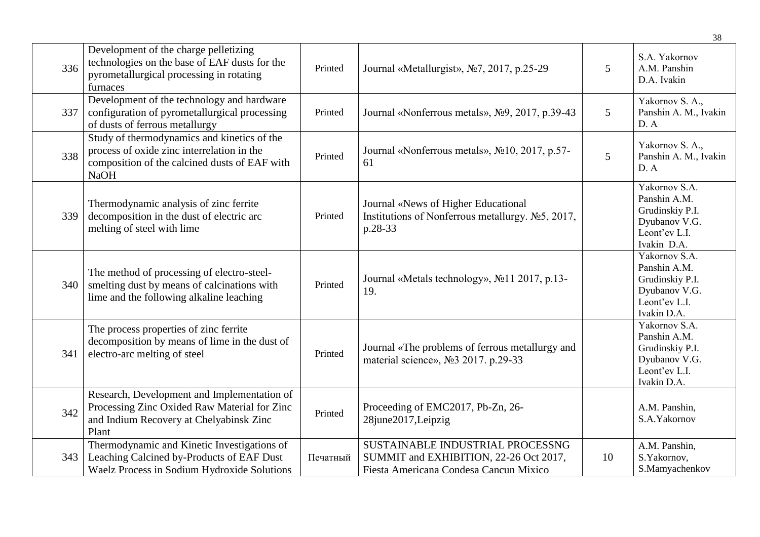|     |                                                                                                                                                           |          |                                                                                                                      |    | 38                                                                                                |
|-----|-----------------------------------------------------------------------------------------------------------------------------------------------------------|----------|----------------------------------------------------------------------------------------------------------------------|----|---------------------------------------------------------------------------------------------------|
| 336 | Development of the charge pelletizing<br>technologies on the base of EAF dusts for the<br>pyrometallurgical processing in rotating<br>furnaces            | Printed  | Journal «Metallurgist», №7, 2017, p.25-29                                                                            | 5  | S.A. Yakornov<br>A.M. Panshin<br>D.A. Ivakin                                                      |
| 337 | Development of the technology and hardware<br>configuration of pyrometallurgical processing<br>of dusts of ferrous metallurgy                             | Printed  | Journal «Nonferrous metals», Nº9, 2017, p.39-43                                                                      | 5  | Yakornov S. A.,<br>Panshin A. M., Ivakin<br>D. A                                                  |
| 338 | Study of thermodynamics and kinetics of the<br>process of oxide zinc interrelation in the<br>composition of the calcined dusts of EAF with<br><b>NaOH</b> | Printed  | Journal «Nonferrous metals», №10, 2017, p.57-<br>61                                                                  | 5  | Yakornov S. A.,<br>Panshin A. M., Ivakin<br>D. A                                                  |
| 339 | Thermodynamic analysis of zinc ferrite<br>decomposition in the dust of electric arc<br>melting of steel with lime                                         | Printed  | Journal «News of Higher Educational<br>Institutions of Nonferrous metallurgy. No 5, 2017,<br>p.28-33                 |    | Yakornov S.A.<br>Panshin A.M.<br>Grudinskiy P.I.<br>Dyubanov V.G.<br>Leont'ev L.I.<br>Ivakin D.A. |
| 340 | The method of processing of electro-steel-<br>smelting dust by means of calcinations with<br>lime and the following alkaline leaching                     | Printed  | Journal «Metals technology», №11 2017, p.13-<br>19.                                                                  |    | Yakornov S.A.<br>Panshin A.M.<br>Grudinskiy P.I.<br>Dyubanov V.G.<br>Leont'ev L.I.<br>Ivakin D.A. |
| 341 | The process properties of zinc ferrite<br>decomposition by means of lime in the dust of<br>electro-arc melting of steel                                   | Printed  | Journal «The problems of ferrous metallurgy and<br>material science», №3 2017. p.29-33                               |    | Yakornov S.A.<br>Panshin A.M.<br>Grudinskiy P.I.<br>Dyubanov V.G.<br>Leont'ev L.I.<br>Ivakin D.A. |
| 342 | Research, Development and Implementation of<br>Processing Zinc Oxided Raw Material for Zinc<br>and Indium Recovery at Chelyabinsk Zinc<br>Plant           | Printed  | Proceeding of EMC2017, Pb-Zn, 26-<br>28june2017, Leipzig                                                             |    | A.M. Panshin,<br>S.A.Yakornov                                                                     |
| 343 | Thermodynamic and Kinetic Investigations of<br>Leaching Calcined by-Products of EAF Dust<br>Waelz Process in Sodium Hydroxide Solutions                   | Печатный | SUSTAINABLE INDUSTRIAL PROCESSNG<br>SUMMIT and EXHIBITION, 22-26 Oct 2017,<br>Fiesta Americana Condesa Cancun Mixico | 10 | A.M. Panshin,<br>S.Yakornov,<br>S.Mamyachenkov                                                    |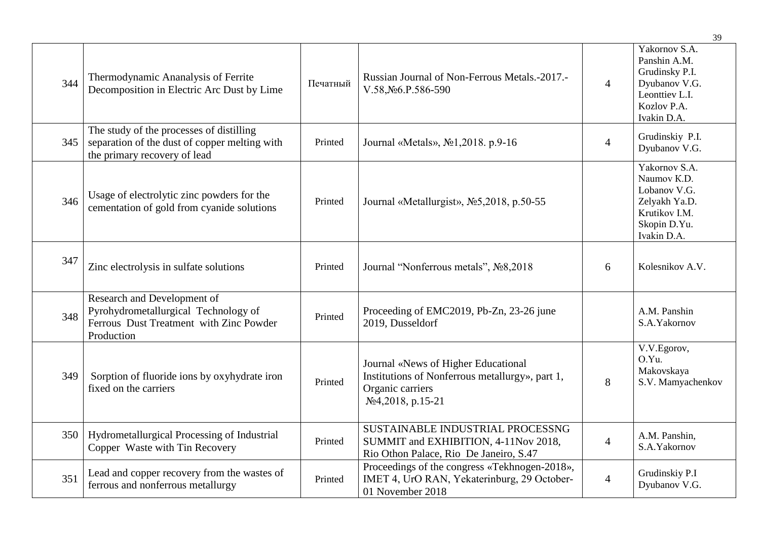|     |                                                                                                                              |          |                                                                                                                                 |                | 39                                                                                                               |
|-----|------------------------------------------------------------------------------------------------------------------------------|----------|---------------------------------------------------------------------------------------------------------------------------------|----------------|------------------------------------------------------------------------------------------------------------------|
| 344 | Thermodynamic Ananalysis of Ferrite<br>Decomposition in Electric Arc Dust by Lime                                            | Печатный | Russian Journal of Non-Ferrous Metals.-2017.-<br>V.58, No6.P.586-590                                                            | $\overline{4}$ | Yakornov S.A.<br>Panshin A.M.<br>Grudinsky P.I.<br>Dyubanov V.G.<br>Leonttiev L.I.<br>Kozlov P.A.<br>Ivakin D.A. |
| 345 | The study of the processes of distilling<br>separation of the dust of copper melting with<br>the primary recovery of lead    | Printed  | Journal «Metals», No1, 2018. p.9-16                                                                                             | $\overline{4}$ | Grudinskiy P.I.<br>Dyubanov V.G.                                                                                 |
| 346 | Usage of electrolytic zinc powders for the<br>cementation of gold from cyanide solutions                                     | Printed  | Journal «Metallurgist», №5,2018, p.50-55                                                                                        |                | Yakornov S.A.<br>Naumov K.D.<br>Lobanov V.G.<br>Zelyakh Ya.D.<br>Krutikov I.M.<br>Skopin D.Yu.<br>Ivakin D.A.    |
| 347 | Zinc electrolysis in sulfate solutions                                                                                       | Printed  | Journal "Nonferrous metals", No§2018                                                                                            | 6              | Kolesnikov A.V.                                                                                                  |
| 348 | Research and Development of<br>Pyrohydrometallurgical Technology of<br>Ferrous Dust Treatment with Zinc Powder<br>Production | Printed  | Proceeding of EMC2019, Pb-Zn, 23-26 june<br>2019, Dusseldorf                                                                    |                | A.M. Panshin<br>S.A.Yakornov                                                                                     |
| 349 | Sorption of fluoride ions by oxyhydrate iron<br>fixed on the carriers                                                        | Printed  | Journal «News of Higher Educational<br>Institutions of Nonferrous metallurgy», part 1,<br>Organic carriers<br>No4,2018, p.15-21 | 8              | V.V.Egorov,<br>O.Yu.<br>Makovskaya<br>S.V. Mamyachenkov                                                          |
| 350 | Hydrometallurgical Processing of Industrial<br>Copper Waste with Tin Recovery                                                | Printed  | SUSTAINABLE INDUSTRIAL PROCESSNG<br>SUMMIT and EXHIBITION, 4-11Nov 2018,<br>Rio Othon Palace, Rio De Janeiro, S.47              | $\overline{4}$ | A.M. Panshin,<br>S.A.Yakornov                                                                                    |
| 351 | Lead and copper recovery from the wastes of<br>ferrous and nonferrous metallurgy                                             | Printed  | Proceedings of the congress «Tekhnogen-2018»,<br>IMET 4, UrO RAN, Yekaterinburg, 29 October-<br>01 November 2018                | $\overline{4}$ | Grudinskiy P.I<br>Dyubanov V.G.                                                                                  |